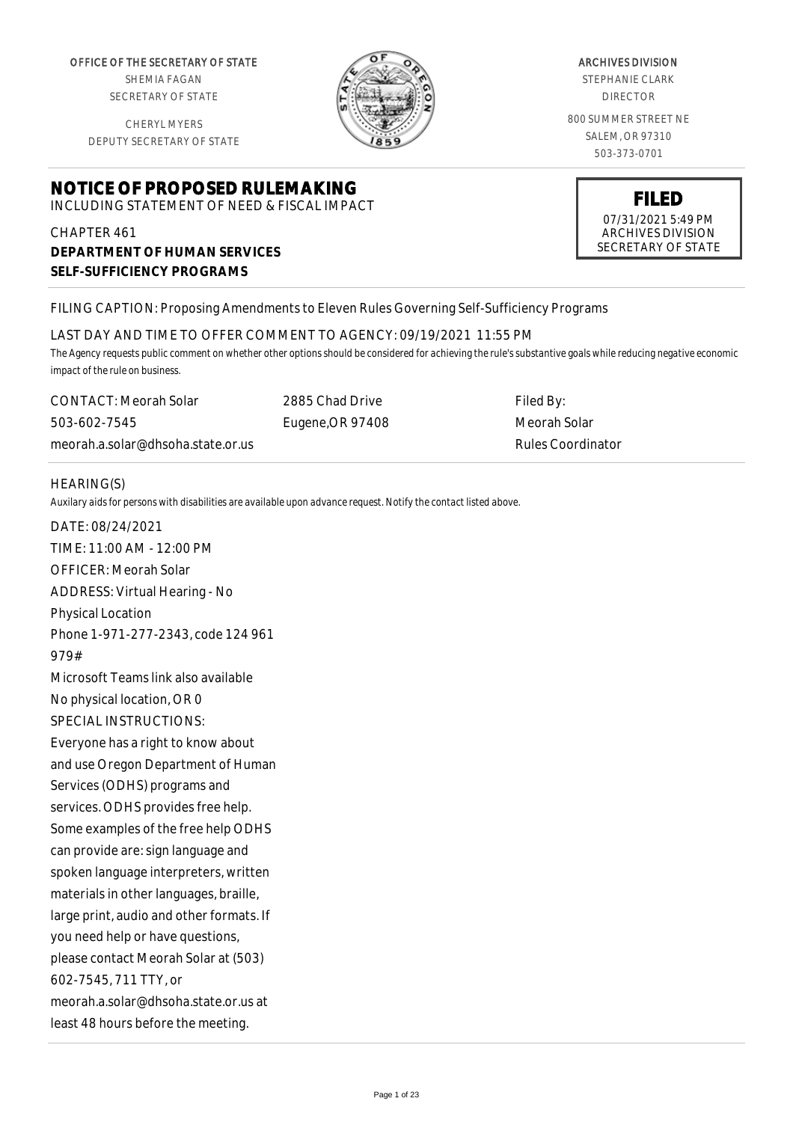OFFICE OF THE SECRETARY OF STATE

SHEMIA FAGAN SECRETARY OF STATE

CHERYL MYERS DEPUTY SECRETARY OF STATE

# **NOTICE OF PROPOSED RULEMAKING**

INCLUDING STATEMENT OF NEED & FISCAL IMPACT

# CHAPTER 461 **DEPARTMENT OF HUMAN SERVICES SELF-SUFFICIENCY PROGRAMS**

ARCHIVES DIVISION

STEPHANIE CLARK DIRECTOR

800 SUMMER STREET NE SALEM, OR 97310 503-373-0701



# FILING CAPTION: Proposing Amendments to Eleven Rules Governing Self-Sufficiency Programs

LAST DAY AND TIME TO OFFER COMMENT TO AGENCY: 09/19/2021 11:55 PM

*The Agency requests public comment on whether other options should be considered for achieving the rule's substantive goals while reducing negative economic impact of the rule on business.*

CONTACT: Meorah Solar 503-602-7545 meorah.a.solar@dhsoha.state.or.us 2885 Chad Drive Eugene,OR 97408

Filed By: Meorah Solar Rules Coordinator

### HEARING(S)

*Auxilary aids for persons with disabilities are available upon advance request. Notify the contact listed above.*

DATE: 08/24/2021 TIME: 11:00 AM - 12:00 PM OFFICER: Meorah Solar ADDRESS: Virtual Hearing - No Physical Location Phone 1-971-277-2343, code 124 961 979# Microsoft Teams link also available No physical location, OR 0 SPECIAL INSTRUCTIONS: Everyone has a right to know about and use Oregon Department of Human Services (ODHS) programs and services. ODHS provides free help. Some examples of the free help ODHS can provide are: sign language and spoken language interpreters, written materials in other languages, braille, large print, audio and other formats. If you need help or have questions, please contact Meorah Solar at (503) 602-7545, 711 TTY, or meorah.a.solar@dhsoha.state.or.us at least 48 hours before the meeting.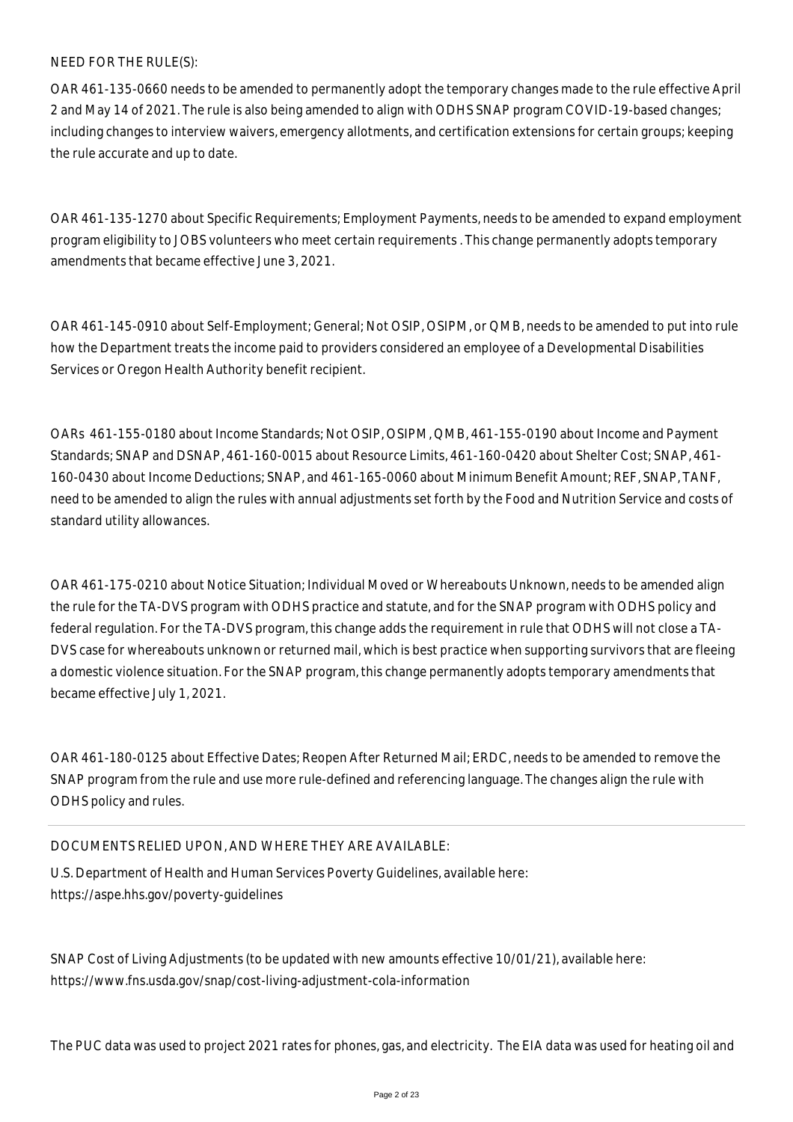### NEED FOR THE RULE(S):

OAR 461-135-0660 needs to be amended to permanently adopt the temporary changes made to the rule effective April 2 and May 14 of 2021. The rule is also being amended to align with ODHS SNAP program COVID-19-based changes; including changes to interview waivers, emergency allotments, and certification extensions for certain groups; keeping the rule accurate and up to date.

OAR 461-135-1270 about Specific Requirements; Employment Payments, needs to be amended to expand employment program eligibility to JOBS volunteers who meet certain requirements . This change permanently adopts temporary amendments that became effective June 3, 2021.

OAR 461-145-0910 about Self-Employment; General; Not OSIP, OSIPM, or QMB, needs to be amended to put into rule how the Department treats the income paid to providers considered an employee of a Developmental Disabilities Services or Oregon Health Authority benefit recipient.

OARs 461-155-0180 about Income Standards; Not OSIP, OSIPM, QMB, 461-155-0190 about Income and Payment Standards; SNAP and DSNAP, 461-160-0015 about Resource Limits, 461-160-0420 about Shelter Cost; SNAP, 461- 160-0430 about Income Deductions; SNAP, and 461-165-0060 about Minimum Benefit Amount; REF, SNAP, TANF, need to be amended to align the rules with annual adjustments set forth by the Food and Nutrition Service and costs of standard utility allowances.

OAR 461-175-0210 about Notice Situation; Individual Moved or Whereabouts Unknown, needs to be amended align the rule for the TA-DVS program with ODHS practice and statute, and for the SNAP program with ODHS policy and federal regulation. For the TA-DVS program, this change adds the requirement in rule that ODHS will not close a TA-DVS case for whereabouts unknown or returned mail, which is best practice when supporting survivors that are fleeing a domestic violence situation. For the SNAP program, this change permanently adopts temporary amendments that became effective July 1, 2021.

OAR 461-180-0125 about Effective Dates; Reopen After Returned Mail; ERDC, needs to be amended to remove the SNAP program from the rule and use more rule-defined and referencing language. The changes align the rule with ODHS policy and rules.

#### DOCUMENTS RELIED UPON, AND WHERE THEY ARE AVAILABLE:

U.S. Department of Health and Human Services Poverty Guidelines, available here: https://aspe.hhs.gov/poverty-guidelines

SNAP Cost of Living Adjustments (to be updated with new amounts effective 10/01/21), available here: https://www.fns.usda.gov/snap/cost-living-adjustment-cola-information

The PUC data was used to project 2021 rates for phones, gas, and electricity. The EIA data was used for heating oil and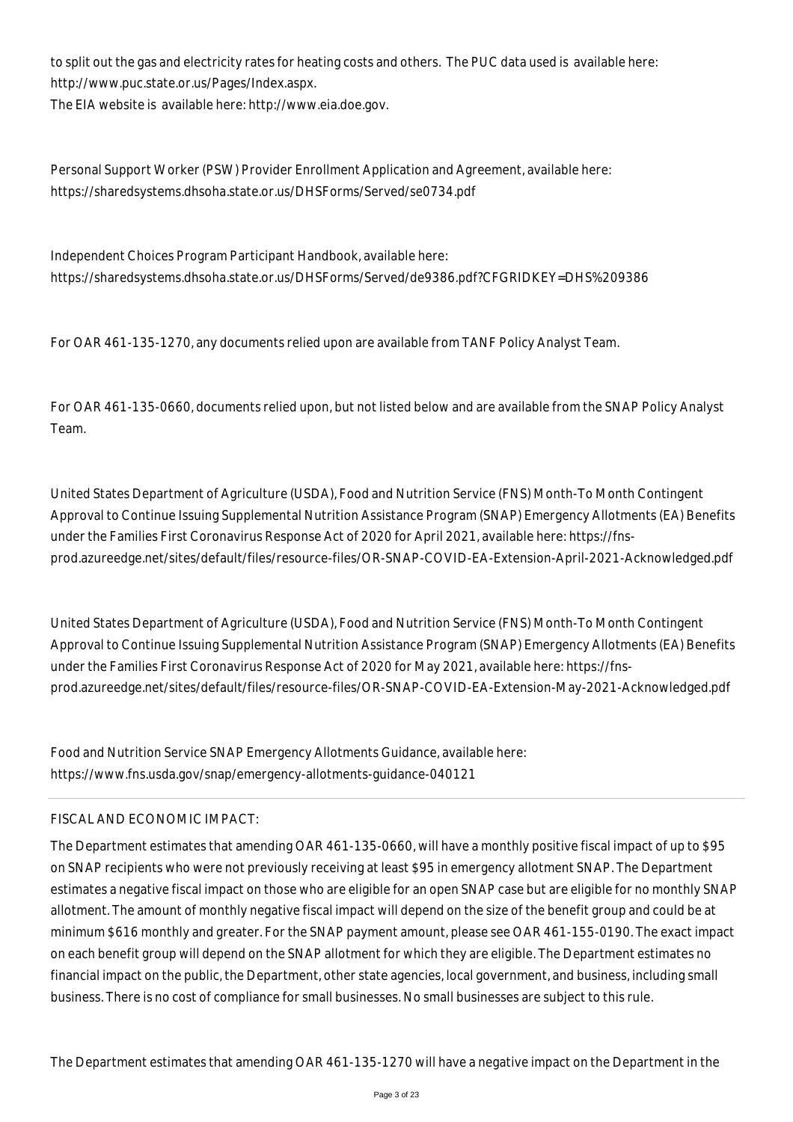to split out the gas and electricity rates for heating costs and others. The PUC data used is available here: http://www.puc.state.or.us/Pages/Index.aspx.

The EIA website is available here: http://www.eia.doe.gov.

Personal Support Worker (PSW) Provider Enrollment Application and Agreement, available here: https://sharedsystems.dhsoha.state.or.us/DHSForms/Served/se0734.pdf

Independent Choices Program Participant Handbook, available here: https://sharedsystems.dhsoha.state.or.us/DHSForms/Served/de9386.pdf?CFGRIDKEY=DHS%209386

For OAR 461-135-1270, any documents relied upon are available from TANF Policy Analyst Team.

For OAR 461-135-0660, documents relied upon, but not listed below and are available from the SNAP Policy Analyst Team.

United States Department of Agriculture (USDA), Food and Nutrition Service (FNS) Month-To Month Contingent Approval to Continue Issuing Supplemental Nutrition Assistance Program (SNAP) Emergency Allotments (EA) Benefits under the Families First Coronavirus Response Act of 2020 for April 2021, available here: https://fnsprod.azureedge.net/sites/default/files/resource-files/OR-SNAP-COVID-EA-Extension-April-2021-Acknowledged.pdf

United States Department of Agriculture (USDA), Food and Nutrition Service (FNS) Month-To Month Contingent Approval to Continue Issuing Supplemental Nutrition Assistance Program (SNAP) Emergency Allotments (EA) Benefits under the Families First Coronavirus Response Act of 2020 for May 2021, available here: https://fnsprod.azureedge.net/sites/default/files/resource-files/OR-SNAP-COVID-EA-Extension-May-2021-Acknowledged.pdf

Food and Nutrition Service SNAP Emergency Allotments Guidance, available here: https://www.fns.usda.gov/snap/emergency-allotments-guidance-040121

# FISCAL AND ECONOMIC IMPACT:

The Department estimates that amending OAR 461-135-0660, will have a monthly positive fiscal impact of up to \$95 on SNAP recipients who were not previously receiving at least \$95 in emergency allotment SNAP. The Department estimates a negative fiscal impact on those who are eligible for an open SNAP case but are eligible for no monthly SNAP allotment. The amount of monthly negative fiscal impact will depend on the size of the benefit group and could be at minimum \$616 monthly and greater. For the SNAP payment amount, please see OAR 461-155-0190. The exact impact on each benefit group will depend on the SNAP allotment for which they are eligible. The Department estimates no financial impact on the public, the Department, other state agencies, local government, and business, including small business. There is no cost of compliance for small businesses. No small businesses are subject to this rule.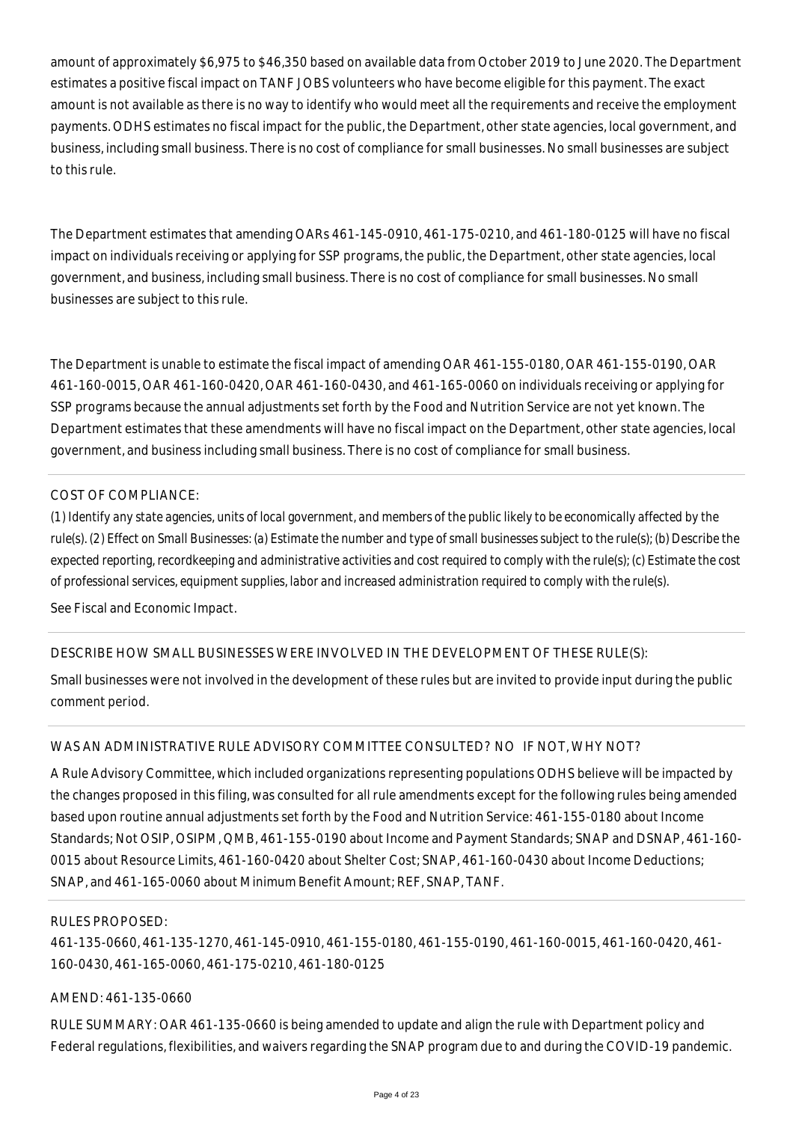amount of approximately \$6,975 to \$46,350 based on available data from October 2019 to June 2020. The Department estimates a positive fiscal impact on TANF JOBS volunteers who have become eligible for this payment. The exact amount is not available as there is no way to identify who would meet all the requirements and receive the employment payments. ODHS estimates no fiscal impact for the public, the Department, other state agencies, local government, and business, including small business. There is no cost of compliance for small businesses. No small businesses are subject to this rule.

The Department estimates that amending OARs 461-145-0910, 461-175-0210, and 461-180-0125 will have no fiscal impact on individuals receiving or applying for SSP programs, the public, the Department, other state agencies, local government, and business, including small business. There is no cost of compliance for small businesses. No small businesses are subject to this rule.

The Department is unable to estimate the fiscal impact of amending OAR 461-155-0180, OAR 461-155-0190, OAR 461-160-0015, OAR 461-160-0420, OAR 461-160-0430, and 461-165-0060 on individuals receiving or applying for SSP programs because the annual adjustments set forth by the Food and Nutrition Service are not yet known. The Department estimates that these amendments will have no fiscal impact on the Department, other state agencies, local government, and business including small business. There is no cost of compliance for small business.

### COST OF COMPLIANCE:

*(1) Identify any state agencies, units of local government, and members of the public likely to be economically affected by the rule(s). (2) Effect on Small Businesses: (a) Estimate the number and type of small businesses subject to the rule(s); (b) Describe the expected reporting, recordkeeping and administrative activities and cost required to comply with the rule(s); (c) Estimate the cost of professional services, equipment supplies, labor and increased administration required to comply with the rule(s).*

See Fiscal and Economic Impact.

# DESCRIBE HOW SMALL BUSINESSES WERE INVOLVED IN THE DEVELOPMENT OF THESE RULE(S):

Small businesses were not involved in the development of these rules but are invited to provide input during the public comment period.

# WAS AN ADMINISTRATIVE RULE ADVISORY COMMITTEE CONSULTED? NO IF NOT, WHY NOT?

A Rule Advisory Committee, which included organizations representing populations ODHS believe will be impacted by the changes proposed in this filing, was consulted for all rule amendments except for the following rules being amended based upon routine annual adjustments set forth by the Food and Nutrition Service: 461-155-0180 about Income Standards; Not OSIP, OSIPM, QMB, 461-155-0190 about Income and Payment Standards; SNAP and DSNAP, 461-160- 0015 about Resource Limits, 461-160-0420 about Shelter Cost; SNAP, 461-160-0430 about Income Deductions; SNAP, and 461-165-0060 about Minimum Benefit Amount; REF, SNAP, TANF.

#### RULES PROPOSED:

461-135-0660, 461-135-1270, 461-145-0910, 461-155-0180, 461-155-0190, 461-160-0015, 461-160-0420, 461- 160-0430, 461-165-0060, 461-175-0210, 461-180-0125

# AMEND: 461-135-0660

RULE SUMMARY: OAR 461-135-0660 is being amended to update and align the rule with Department policy and Federal regulations, flexibilities, and waivers regarding the SNAP program due to and during the COVID-19 pandemic.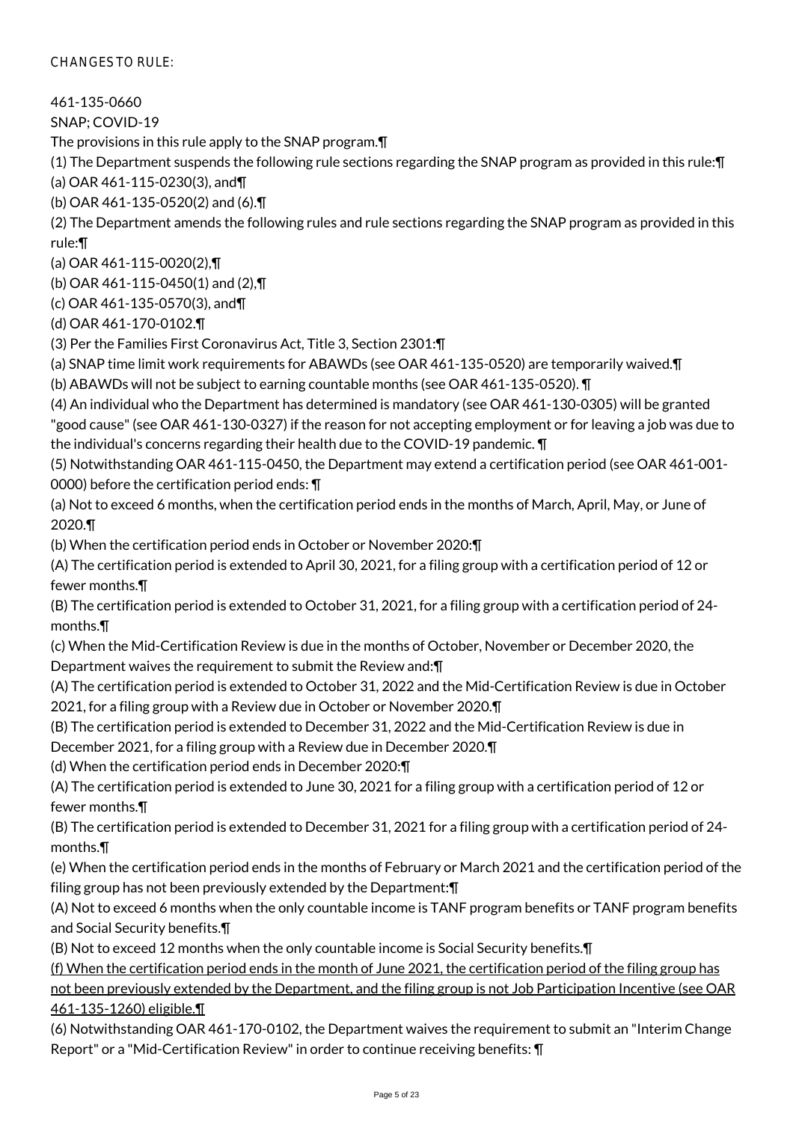CHANGES TO RULE:

461-135-0660

SNAP; COVID-19

The provisions in this rule apply to the SNAP program.¶

(1) The Department suspends the following rule sections regarding the SNAP program as provided in this rule:¶

(a) OAR 461-115-0230(3), and¶

(b) OAR 461-135-0520(2) and (6).¶

(2) The Department amends the following rules and rule sections regarding the SNAP program as provided in this rule:¶

(a) OAR 461-115-0020(2),¶

(b) OAR 461-115-0450(1) and (2),¶

(c) OAR 461-135-0570(3), and¶

(d) OAR 461-170-0102.¶

(3) Per the Families First Coronavirus Act, Title 3, Section 2301:¶

(a) SNAP time limit work requirements for ABAWDs (see OAR 461-135-0520) are temporarily waived.¶

(b) ABAWDs will not be subject to earning countable months (see OAR 461-135-0520). ¶

(4) An individual who the Department has determined is mandatory (see OAR 461-130-0305) will be granted "good cause" (see OAR 461-130-0327) if the reason for not accepting employment or for leaving a job was due to the individual's concerns regarding their health due to the COVID-19 pandemic. ¶

(5) Notwithstanding OAR 461-115-0450, the Department may extend a certification period (see OAR 461-001- 0000) before the certification period ends: ¶

(a) Not to exceed 6 months, when the certification period ends in the months of March, April, May, or June of 2020.¶

(b) When the certification period ends in October or November 2020:¶

(A) The certification period is extended to April 30, 2021, for a filing group with a certification period of 12 or fewer months.¶

(B) The certification period is extended to October 31, 2021, for a filing group with a certification period of 24 months.¶

(c) When the Mid-Certification Review is due in the months of October, November or December 2020, the Department waives the requirement to submit the Review and:¶

(A) The certification period is extended to October 31, 2022 and the Mid-Certification Review is due in October 2021, for a filing group with a Review due in October or November 2020.¶

(B) The certification period is extended to December 31, 2022 and the Mid-Certification Review is due in December 2021, for a filing group with a Review due in December 2020.¶

(d) When the certification period ends in December 2020:¶

(A) The certification period is extended to June 30, 2021 for a filing group with a certification period of 12 or fewer months.¶

(B) The certification period is extended to December 31, 2021 for a filing group with a certification period of 24 months.¶

(e) When the certification period ends in the months of February or March 2021 and the certification period of the filing group has not been previously extended by the Department:¶

(A) Not to exceed 6 months when the only countable income is TANF program benefits or TANF program benefits and Social Security benefits.¶

(B) Not to exceed 12 months when the only countable income is Social Security benefits.¶

(f) When the certification period ends in the month of June 2021, the certification period of the filing group has not been previously extended by the Department, and the filing group is not Job Participation Incentive (see OAR 461-135-1260) eligible.¶

(6) Notwithstanding OAR 461-170-0102, the Department waives the requirement to submit an "Interim Change Report" or a "Mid-Certification Review" in order to continue receiving benefits: ¶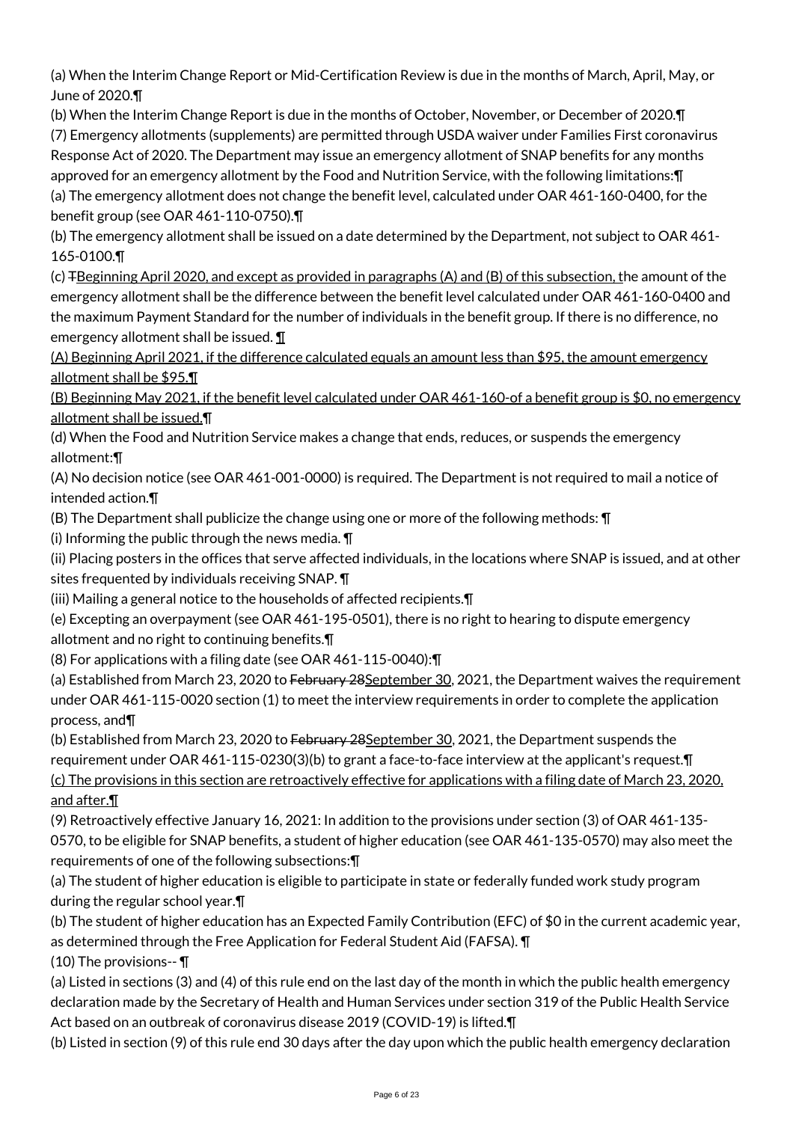(a) When the Interim Change Report or Mid-Certification Review is due in the months of March, April, May, or June of 2020.¶

(b) When the Interim Change Report is due in the months of October, November, or December of 2020.¶ (7) Emergency allotments (supplements) are permitted through USDA waiver under Families First coronavirus Response Act of 2020. The Department may issue an emergency allotment of SNAP benefits for any months approved for an emergency allotment by the Food and Nutrition Service, with the following limitations:¶ (a) The emergency allotment does not change the benefit level, calculated under OAR 461-160-0400, for the benefit group (see OAR 461-110-0750).¶

(b) The emergency allotment shall be issued on a date determined by the Department, not subject to OAR 461- 165-0100.¶

(c) TBeginning April 2020, and except as provided in paragraphs (A) and (B) of this subsection, the amount of the emergency allotment shall be the difference between the benefit level calculated under OAR 461-160-0400 and the maximum Payment Standard for the number of individuals in the benefit group. If there is no difference, no emergency allotment shall be issued. ¶

(A) Beginning April 2021, if the difference calculated equals an amount less than \$95, the amount emergency allotment shall be \$95.¶

(B) Beginning May 2021, if the benefit level calculated under OAR 461-160-of a benefit group is \$0, no emergency allotment shall be issued.¶

(d) When the Food and Nutrition Service makes a change that ends, reduces, or suspends the emergency allotment:¶

(A) No decision notice (see OAR 461-001-0000) is required. The Department is not required to mail a notice of intended action.¶

(B) The Department shall publicize the change using one or more of the following methods: ¶

(i) Informing the public through the news media. ¶

(ii) Placing posters in the offices that serve affected individuals, in the locations where SNAP is issued, and at other sites frequented by individuals receiving SNAP.  $\P$ 

(iii) Mailing a general notice to the households of affected recipients.¶

(e) Excepting an overpayment (see OAR 461-195-0501), there is no right to hearing to dispute emergency allotment and no right to continuing benefits.¶

(8) For applications with a filing date (see OAR 461-115-0040):¶

(a) Established from March 23, 2020 to February 28September 30, 2021, the Department waives the requirement under OAR 461-115-0020 section (1) to meet the interview requirements in order to complete the application process, and¶

(b) Established from March 23, 2020 to February 28 September 30, 2021, the Department suspends the requirement under OAR 461-115-0230(3)(b) to grant a face-to-face interview at the applicant's request.¶ (c) The provisions in this section are retroactively effective for applications with a filing date of March 23, 2020, and after.¶

(9) Retroactively effective January 16, 2021: In addition to the provisions under section (3) of OAR 461-135- 0570, to be eligible for SNAP benefits, a student of higher education (see OAR 461-135-0570) may also meet the requirements of one of the following subsections:¶

(a) The student of higher education is eligible to participate in state or federally funded work study program during the regular school year.¶

(b) The student of higher education has an Expected Family Contribution (EFC) of \$0 in the current academic year, as determined through the Free Application for Federal Student Aid (FAFSA). ¶

(10) The provisions-- ¶

(a) Listed in sections (3) and (4) of this rule end on the last day of the month in which the public health emergency declaration made by the Secretary of Health and Human Services under section 319 of the Public Health Service Act based on an outbreak of coronavirus disease 2019 (COVID-19) is lifted.¶

(b) Listed in section (9) of this rule end 30 days after the day upon which the public health emergency declaration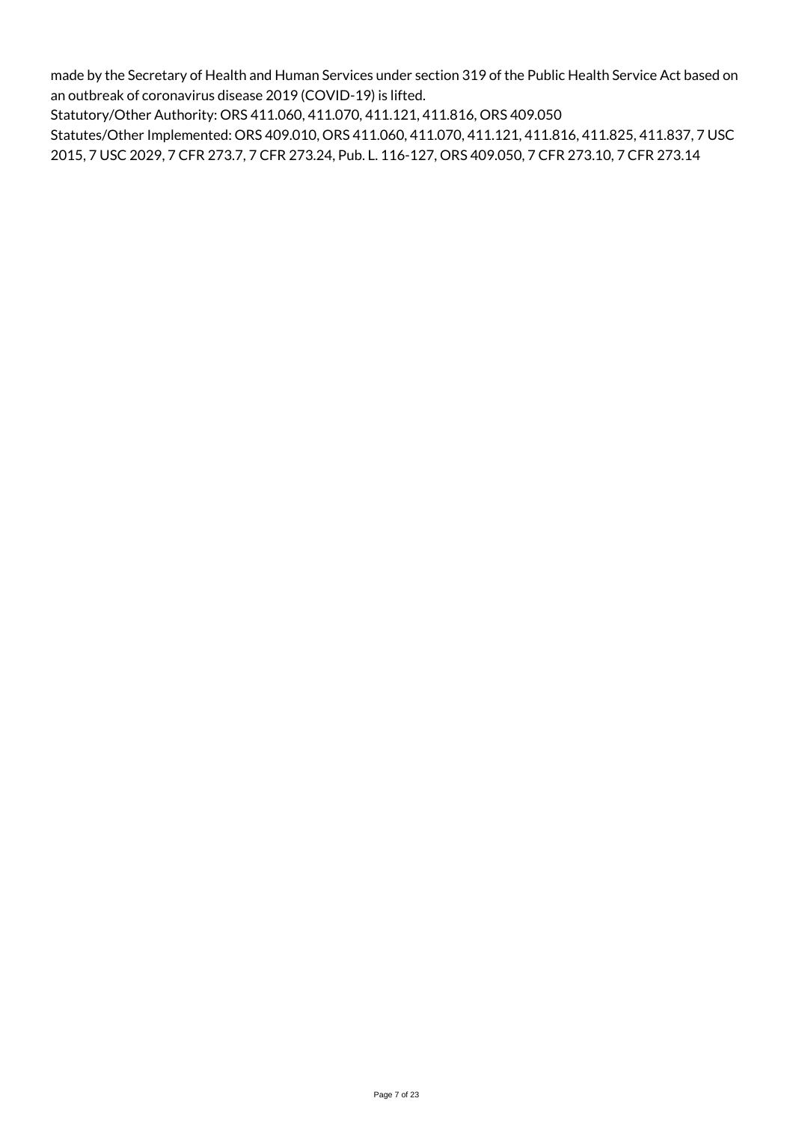made by the Secretary of Health and Human Services under section 319 of the Public Health Service Act based on an outbreak of coronavirus disease 2019 (COVID-19) is lifted.

Statutory/Other Authority: ORS 411.060, 411.070, 411.121, 411.816, ORS 409.050

Statutes/Other Implemented: ORS 409.010, ORS 411.060, 411.070, 411.121, 411.816, 411.825, 411.837, 7 USC 2015, 7 USC 2029, 7 CFR 273.7, 7 CFR 273.24, Pub. L. 116-127, ORS 409.050, 7 CFR 273.10, 7 CFR 273.14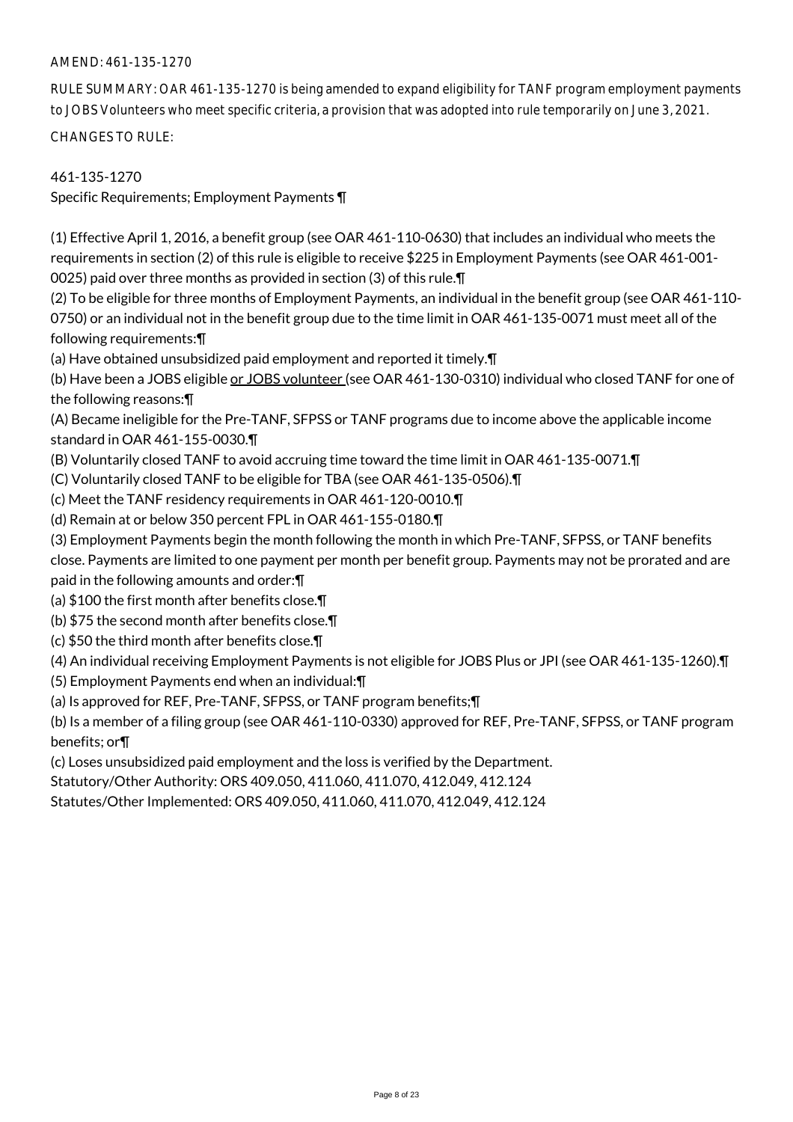# AMEND: 461-135-1270

RULE SUMMARY: OAR 461-135-1270 is being amended to expand eligibility for TANF program employment payments to JOBS Volunteers who meet specific criteria, a provision that was adopted into rule temporarily on June 3, 2021.

CHANGES TO RULE:

461-135-1270

Specific Requirements; Employment Payments ¶

(1) Effective April 1, 2016, a benefit group (see OAR 461-110-0630) that includes an individual who meets the requirements in section (2) of this rule is eligible to receive \$225 in Employment Payments (see OAR 461-001- 0025) paid over three months as provided in section (3) of this rule.¶

(2) To be eligible for three months of Employment Payments, an individual in the benefit group (see OAR 461-110- 0750) or an individual not in the benefit group due to the time limit in OAR 461-135-0071 must meet all of the following requirements:¶

(a) Have obtained unsubsidized paid employment and reported it timely.¶

(b) Have been a JOBS eligible or JOBS volunteer (see OAR 461-130-0310) individual who closed TANF for one of the following reasons:¶

(A) Became ineligible for the Pre-TANF, SFPSS or TANF programs due to income above the applicable income standard in OAR 461-155-0030.¶

(B) Voluntarily closed TANF to avoid accruing time toward the time limit in OAR 461-135-0071.¶

(C) Voluntarily closed TANF to be eligible for TBA (see OAR 461-135-0506).¶

(c) Meet the TANF residency requirements in OAR 461-120-0010.¶

(d) Remain at or below 350 percent FPL in OAR 461-155-0180.¶

(3) Employment Payments begin the month following the month in which Pre-TANF, SFPSS, or TANF benefits

close. Payments are limited to one payment per month per benefit group. Payments may not be prorated and are paid in the following amounts and order:¶

(a) \$100 the first month after benefits close.¶

(b) \$75 the second month after benefits close.¶

(c) \$50 the third month after benefits close.¶

(4) An individual receiving Employment Payments is not eligible for JOBS Plus or JPI (see OAR 461-135-1260).¶

(5) Employment Payments end when an individual:¶

(a) Is approved for REF, Pre-TANF, SFPSS, or TANF program benefits;¶

(b) Is a member of a filing group (see OAR 461-110-0330) approved for REF, Pre-TANF, SFPSS, or TANF program benefits; or¶

(c) Loses unsubsidized paid employment and the loss is verified by the Department.

Statutory/Other Authority: ORS 409.050, 411.060, 411.070, 412.049, 412.124

Statutes/Other Implemented: ORS 409.050, 411.060, 411.070, 412.049, 412.124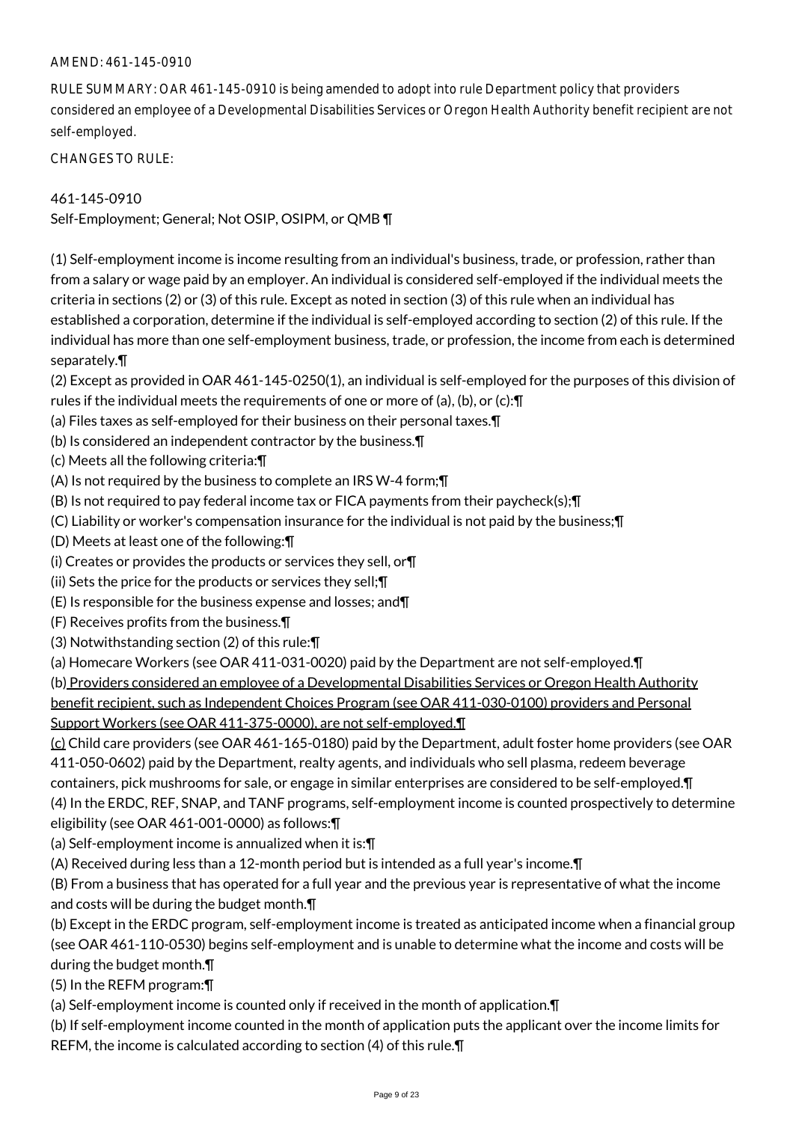### AMEND: 461-145-0910

RULE SUMMARY: OAR 461-145-0910 is being amended to adopt into rule Department policy that providers considered an employee of a Developmental Disabilities Services or Oregon Health Authority benefit recipient are not self-employed.

CHANGES TO RULE:

### 461-145-0910

Self-Employment; General; Not OSIP, OSIPM, or QMB ¶

(1) Self-employment income is income resulting from an individual's business, trade, or profession, rather than from a salary or wage paid by an employer. An individual is considered self-employed if the individual meets the criteria in sections (2) or (3) of this rule. Except as noted in section (3) of this rule when an individual has established a corporation, determine if the individual is self-employed according to section (2) of this rule. If the individual has more than one self-employment business, trade, or profession, the income from each is determined separately.¶

(2) Except as provided in OAR 461-145-0250(1), an individual is self-employed for the purposes of this division of rules if the individual meets the requirements of one or more of (a), (b), or (c):¶

- (a) Files taxes as self-employed for their business on their personal taxes.¶
- (b) Is considered an independent contractor by the business.¶
- (c) Meets all the following criteria:¶

(A) Is not required by the business to complete an IRS W-4 form;¶

(B) Is not required to pay federal income tax or FICA payments from their paycheck(s);¶

- (C) Liability or worker's compensation insurance for the individual is not paid by the business;¶
- (D) Meets at least one of the following:¶
- (i) Creates or provides the products or services they sell, or¶
- (ii) Sets the price for the products or services they sell;¶
- (E) Is responsible for the business expense and losses; and¶
- (F) Receives profits from the business.¶
- (3) Notwithstanding section (2) of this rule:¶
- (a) Homecare Workers (see OAR 411-031-0020) paid by the Department are not self-employed.¶

(b) Providers considered an employee of a Developmental Disabilities Services or Oregon Health Authority

benefit recipient, such as Independent Choices Program (see OAR 411-030-0100) providers and Personal

Support Workers (see OAR 411-375-0000), are not self-employed.¶

(c) Child care providers (see OAR 461-165-0180) paid by the Department, adult foster home providers (see OAR 411-050-0602) paid by the Department, realty agents, and individuals who sell plasma, redeem beverage containers, pick mushrooms for sale, or engage in similar enterprises are considered to be self-employed.¶ (4) In the ERDC, REF, SNAP, and TANF programs, self-employment income is counted prospectively to determine eligibility (see OAR 461-001-0000) as follows:¶

(a) Self-employment income is annualized when it is:¶

(A) Received during less than a 12-month period but is intended as a full year's income.¶

(B) From a business that has operated for a full year and the previous year is representative of what the income and costs will be during the budget month.¶

(b) Except in the ERDC program, self-employment income is treated as anticipated income when a financial group (see OAR 461-110-0530) begins self-employment and is unable to determine what the income and costs will be during the budget month.¶

(5) In the REFM program:¶

(a) Self-employment income is counted only if received in the month of application.¶

(b) If self-employment income counted in the month of application puts the applicant over the income limits for REFM, the income is calculated according to section (4) of this rule.¶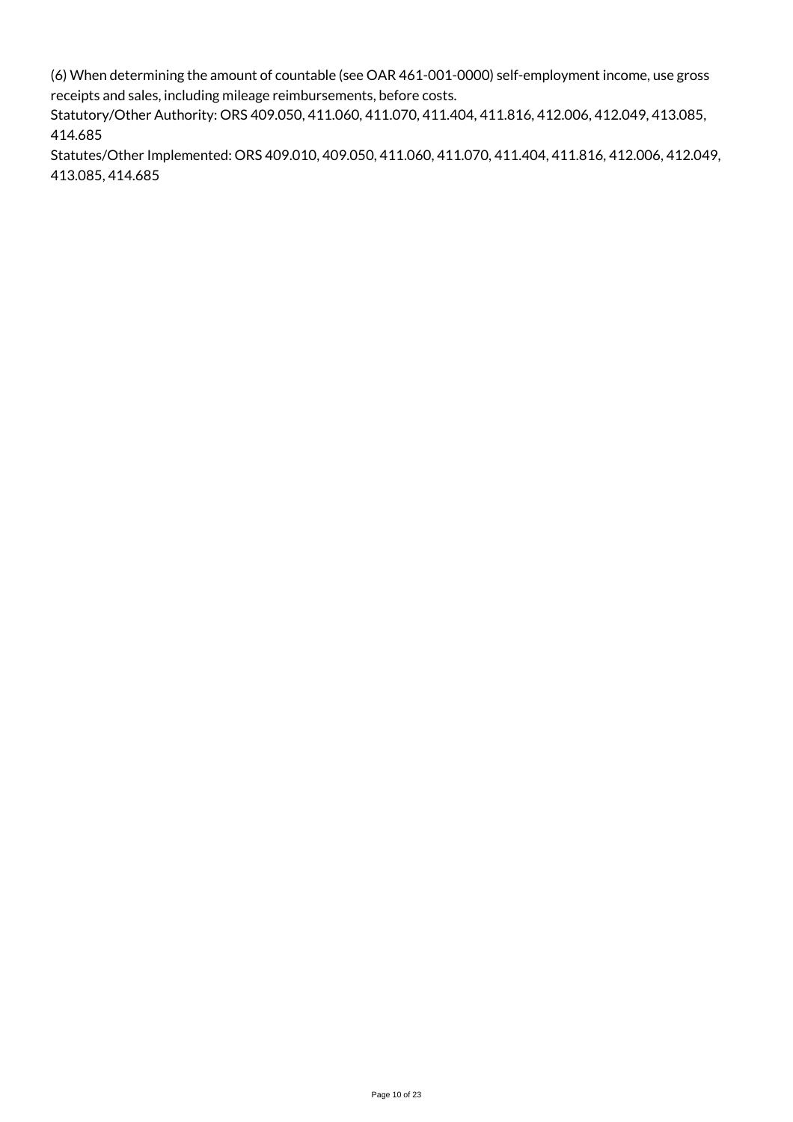(6) When determining the amount of countable (see OAR 461-001-0000) self-employment income, use gross receipts and sales, including mileage reimbursements, before costs.

Statutory/Other Authority: ORS 409.050, 411.060, 411.070, 411.404, 411.816, 412.006, 412.049, 413.085, 414.685

Statutes/Other Implemented: ORS 409.010, 409.050, 411.060, 411.070, 411.404, 411.816, 412.006, 412.049, 413.085, 414.685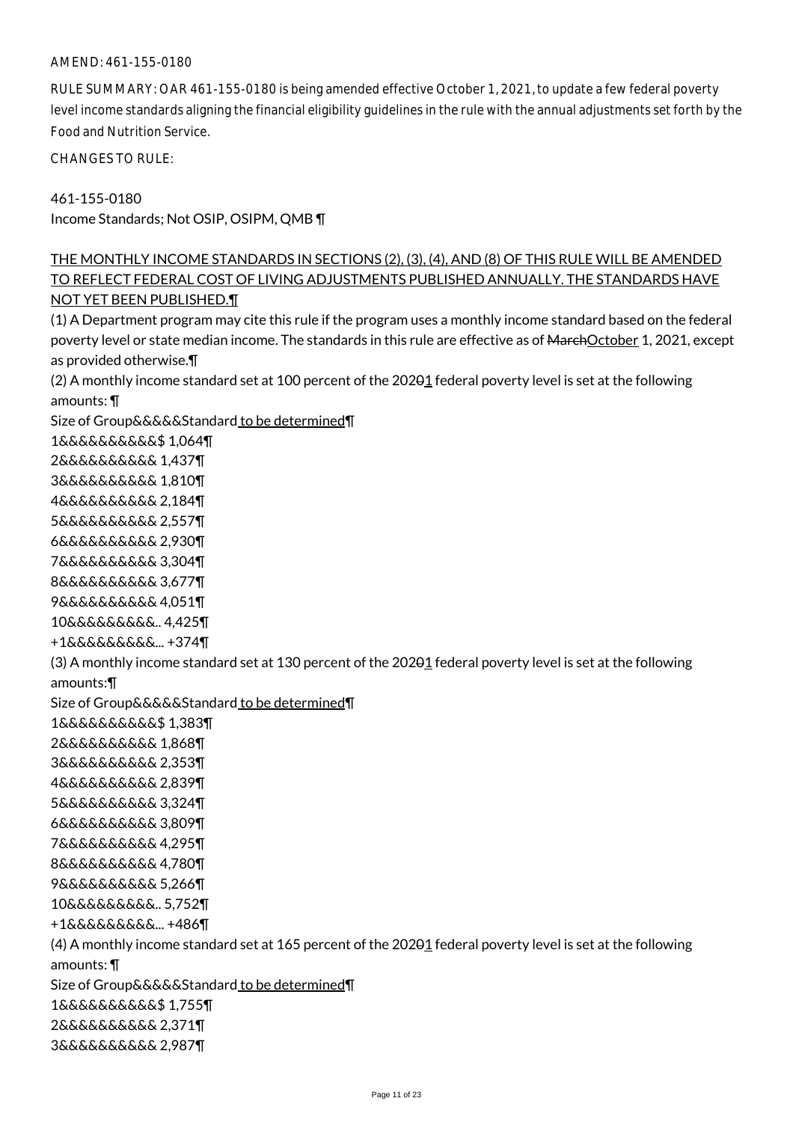### AMEND: 461-155-0180

RULE SUMMARY: OAR 461-155-0180 is being amended effective October 1, 2021, to update a few federal poverty level income standards aligning the financial eligibility guidelines in the rule with the annual adjustments set forth by the Food and Nutrition Service.

CHANGES TO RULE:

461-155-0180 Income Standards; Not OSIP, OSIPM, QMB ¶

THE MONTHLY INCOME STANDARDS IN SECTIONS (2), (3), (4), AND (8) OF THIS RULE WILL BE AMENDED TO REFLECT FEDERAL COST OF LIVING ADJUSTMENTS PUBLISHED ANNUALLY. THE STANDARDS HAVE NOT YET BEEN PUBLISHED.¶

(1) A Department program may cite this rule if the program uses a monthly income standard based on the federal poverty level or state median income. The standards in this rule are effective as of MarchOctober 1, 2021, except as provided otherwise.¶ (2) A monthly income standard set at 100 percent of the 202 $\theta$ 1 federal poverty level is set at the following amounts: ¶ Size of Group&&&&&Standard to be determined¶ 1&&&&&&&&&&\$ 1,064¶ 2&&&&&&&&&& 1,437¶ 3&&&&&&&&&& 1,810¶ 4&&&&&&&&&& 2,184¶ 5&&&&&&&&&& 2,557¶ 6&&&&&&&&&& 2,930¶ 7&&&&&&&&&& 3,304¶ 8&&&&&&&&&& 3,677¶ 9&&&&&&&&&& 4,051¶ 10&&&&&&&&&.. 4,425¶ +1&&&&&&&&&... +374¶ (3) A monthly income standard set at 130 percent of the 20201 federal poverty level is set at the following amounts:¶ Size of Group&&&&&Standard to be determined¶ 1&&&&&&&&&&\$ 1,383¶ 2&&&&&&&&&& 1,868¶ 3&&&&&&&&&& 2,353¶ 4&&&&&&&&&& 2,839¶ 5&&&&&&&&&& 3,324¶ 6&&&&&&&&&& 3,809¶ 7&&&&&&&&&& 4,295¶ 8&&&&&&&&&& 4,780¶ 9&&&&&&&&&& 5,266¶ 10&&&&&&&&&.. 5,752¶ +1&&&&&&&&&... +486¶ (4) A monthly income standard set at 165 percent of the 20201 federal poverty level is set at the following amounts: ¶ Size of Group&&&&&Standard to be determined¶ 1&&&&&&&&&&\$ 1,755¶ 2&&&&&&&&&& 2,371¶ 3&&&&&&&&&& 2,987¶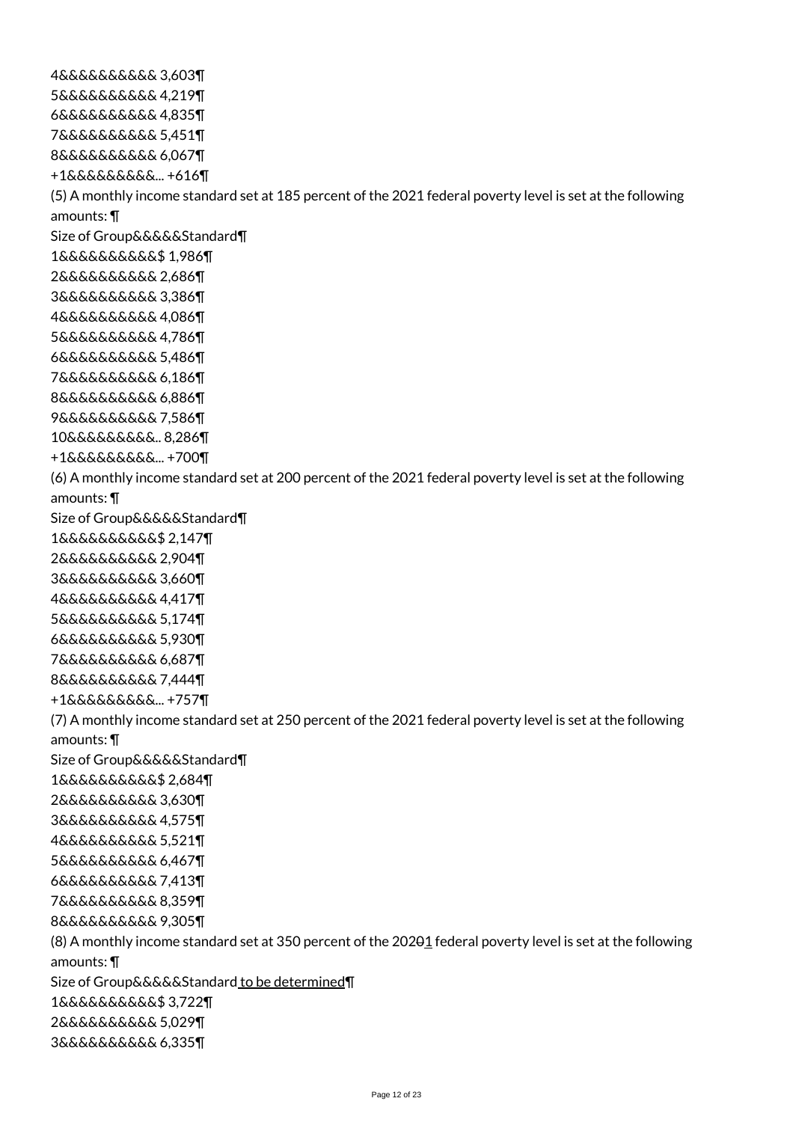4&&&&&&&&&& 3,603¶ 5&&&&&&&&&& 4,219¶ 6&&&&&&&&&& 4,835¶ 7&&&&&&&&&& 5,451¶ 8&&&&&&&&&& 6,067¶ +1&&&&&&&&&... +616¶ (5) A monthly income standard set at 185 percent of the 2021 federal poverty level is set at the following amounts: ¶ Size of Group&&&&&Standard¶ 1&&&&&&&&&&\$ 1,986¶ 2&&&&&&&&&& 2,686¶ 3&&&&&&&&&& 3,386¶ 4&&&&&&&&&& 4,086¶ 5&&&&&&&&&& 4,786¶ 6&&&&&&&&&& 5,486¶ 7&&&&&&&&&& 6,186¶ 8&&&&&&&&&& 6,886¶ 9&&&&&&&&&& 7,586¶ 10&&&&&&&&&.. 8,286¶ +1&&&&&&&&&... +700¶ (6) A monthly income standard set at 200 percent of the 2021 federal poverty level is set at the following amounts: ¶ Size of Group&&&&&Standard¶ 1&&&&&&&&&&\$ 2,147¶ 2&&&&&&&&&& 2,904¶ 3&&&&&&&&&& 3,660¶ 4&&&&&&&&&& 4,417¶ 5&&&&&&&&&& 5,174¶ 6&&&&&&&&&& 5,930¶ 7&&&&&&&&&& 6,687¶ 8&&&&&&&&&& 7,444¶ +1&&&&&&&&&... +757¶ (7) A monthly income standard set at 250 percent of the 2021 federal poverty level is set at the following amounts: ¶ Size of Group&&&&&Standard¶ 1&&&&&&&&&&\$ 2,684¶ 2&&&&&&&&&& 3,630¶ 3&&&&&&&&&& 4,575¶ 4&&&&&&&&&& 5,521¶ 5&&&&&&&&&& 6,467¶ 6&&&&&&&&&& 7,413¶ 7&&&&&&&&&& 8,359¶ 8&&&&&&&&&& 9,305¶ (8) A monthly income standard set at 350 percent of the 20201 federal poverty level is set at the following amounts: ¶ Size of Group&&&&&Standard to be determined¶ 1&&&&&&&&&&\$ 3,722¶ 2&&&&&&&&&& 5,029¶ 3&&&&&&&&&& 6,335¶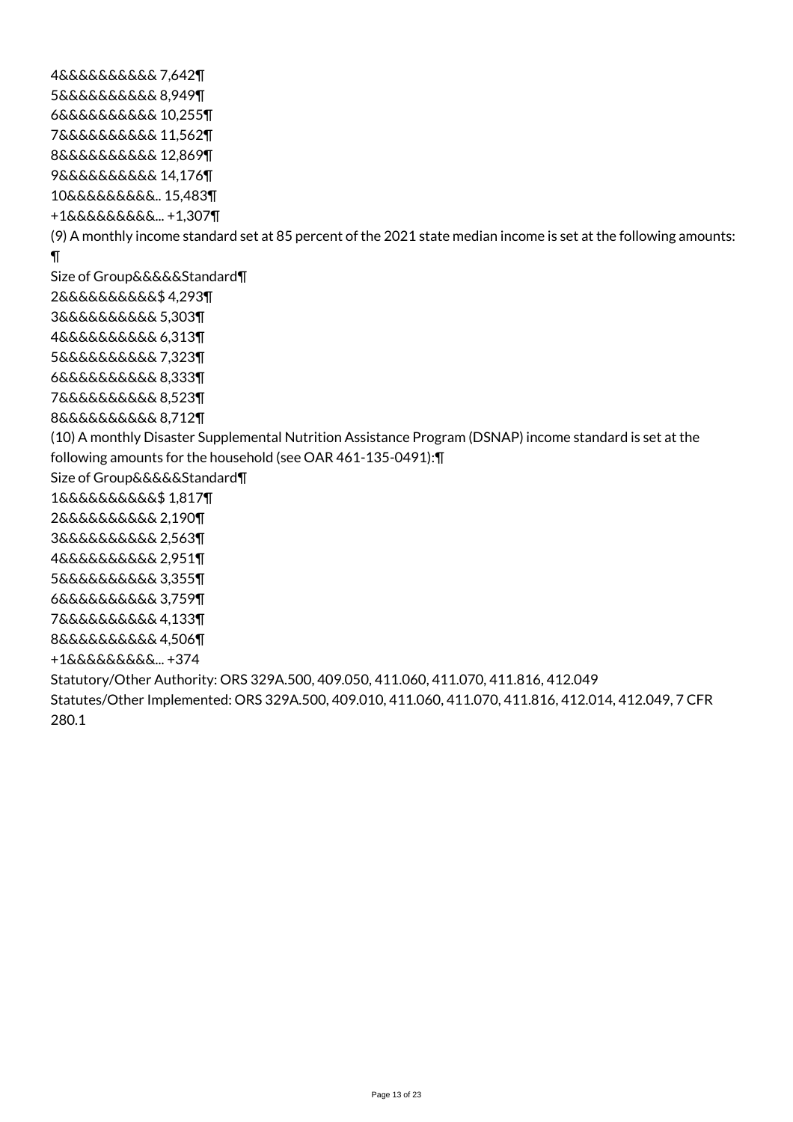4&&&&&&&&&& 7,642¶ 5&&&&&&&&&& 8,949¶ 6&&&&&&&&&& 10,255¶ 7&&&&&&&&&& 11,562¶ 8&&&&&&&&&& 12,869¶ 9&&&&&&&&&& 14,176¶ 10&&&&&&&&&.. 15,483¶ +1&&&&&&&&&... +1,307¶ (9) A monthly income standard set at 85 percent of the 2021 state median income is set at the following amounts: ¶ Size of Group&&&&&Standard¶ 2&&&&&&&&&&\$ 4,293¶ 3&&&&&&&&&& 5,303¶ 4&&&&&&&&&& 6,313¶ 5&&&&&&&&&& 7,323¶ 6&&&&&&&&&& 8,333¶ 7&&&&&&&&&& 8,523¶ 8&&&&&&&&&& 8,712¶ (10) A monthly Disaster Supplemental Nutrition Assistance Program (DSNAP) income standard is set at the following amounts for the household (see OAR 461-135-0491):¶ Size of Group&&&&&Standard¶ 1&&&&&&&&&&\$ 1,817¶ 2&&&&&&&&&& 2,190¶ 3&&&&&&&&&& 2,563¶ 4&&&&&&&&&& 2,951¶ 5&&&&&&&&&& 3,355¶ 6&&&&&&&&&& 3,759¶ 7&&&&&&&&&& 4,133¶ 8&&&&&&&&&& 4,506¶ +1&&&&&&&&&... +374 Statutory/Other Authority: ORS 329A.500, 409.050, 411.060, 411.070, 411.816, 412.049 Statutes/Other Implemented: ORS 329A.500, 409.010, 411.060, 411.070, 411.816, 412.014, 412.049, 7 CFR 280.1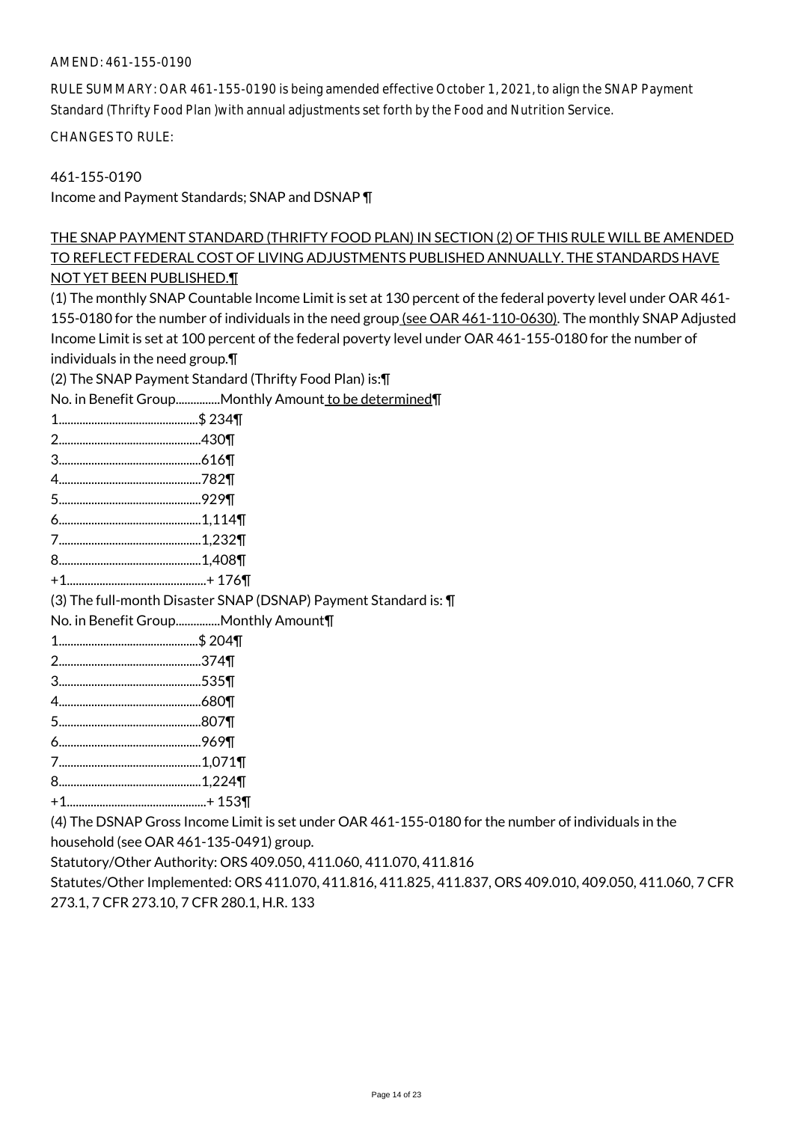# AMEND: 461-155-0190

RULE SUMMARY: OAR 461-155-0190 is being amended effective October 1, 2021, to align the SNAP Payment Standard (Thrifty Food Plan )with annual adjustments set forth by the Food and Nutrition Service.

CHANGES TO RULE:

461-155-0190

Income and Payment Standards; SNAP and DSNAP ¶

# THE SNAP PAYMENT STANDARD (THRIFTY FOOD PLAN) IN SECTION (2) OF THIS RULE WILL BE AMENDED TO REFLECT FEDERAL COST OF LIVING ADJUSTMENTS PUBLISHED ANNUALLY. THE STANDARDS HAVE NOT YET BEEN PUBLISHED.¶

(1) The monthly SNAP Countable Income Limit is set at 130 percent of the federal poverty level under OAR 461- 155-0180 for the number of individuals in the need group (see OAR 461-110-0630). The monthly SNAP Adjusted Income Limit is set at 100 percent of the federal poverty level under OAR 461-155-0180 for the number of individuals in the need group.¶

(2) The SNAP Payment Standard (Thrifty Food Plan) is:¶

\mount to be determined¶

| No. in Benefit GroupMonthly Amount to be determined¶             |
|------------------------------------------------------------------|
|                                                                  |
|                                                                  |
|                                                                  |
|                                                                  |
|                                                                  |
|                                                                  |
|                                                                  |
|                                                                  |
|                                                                  |
| (3) The full-month Disaster SNAP (DSNAP) Payment Standard is: \[ |
| No. in Benefit GroupMonthly Amount¶                              |
|                                                                  |
|                                                                  |
|                                                                  |
|                                                                  |
|                                                                  |
|                                                                  |

- 7................................................1,071¶
- 8................................................1,224¶
- +1...............................................+ 153¶

(4) The DSNAP Gross Income Limit is set under OAR 461-155-0180 for the number of individuals in the

household (see OAR 461-135-0491) group.

Statutory/Other Authority: ORS 409.050, 411.060, 411.070, 411.816

Statutes/Other Implemented: ORS 411.070, 411.816, 411.825, 411.837, ORS 409.010, 409.050, 411.060, 7 CFR 273.1, 7 CFR 273.10, 7 CFR 280.1, H.R. 133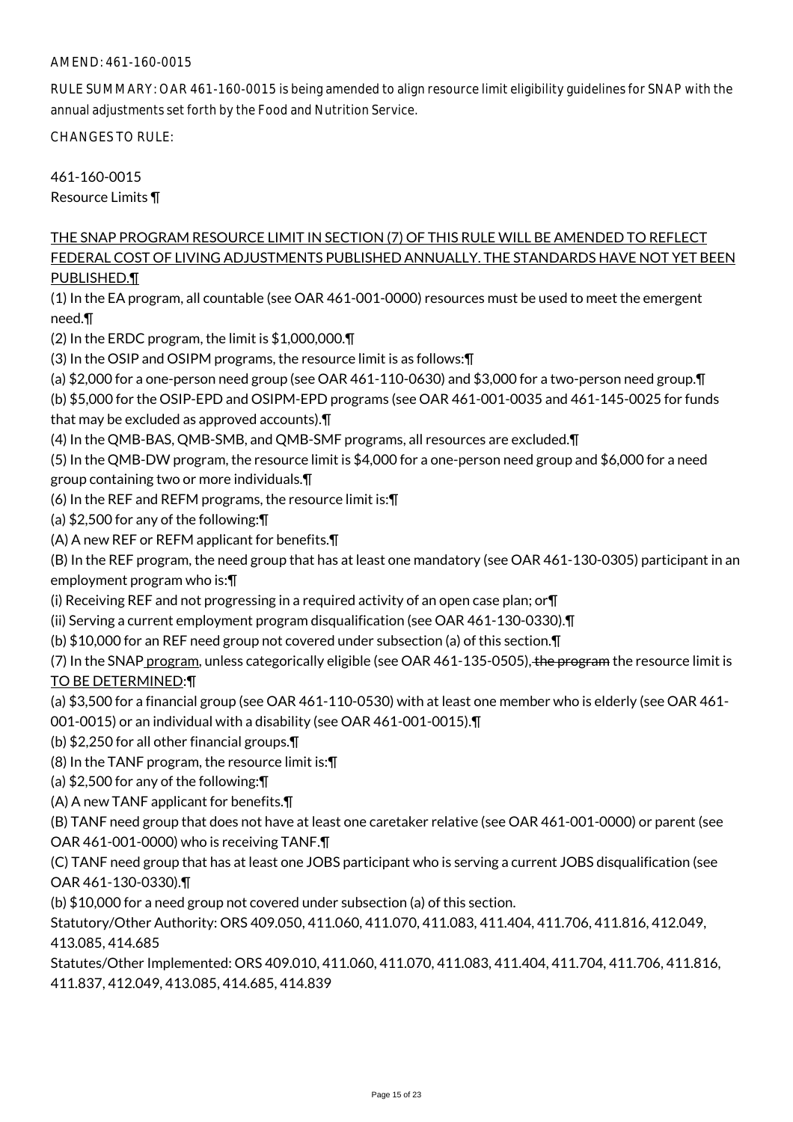### AMEND: 461-160-0015

RULE SUMMARY: OAR 461-160-0015 is being amended to align resource limit eligibility guidelines for SNAP with the annual adjustments set forth by the Food and Nutrition Service.

CHANGES TO RULE:

461-160-0015 Resource Limits ¶

# THE SNAP PROGRAM RESOURCE LIMIT IN SECTION (7) OF THIS RULE WILL BE AMENDED TO REFLECT FEDERAL COST OF LIVING ADJUSTMENTS PUBLISHED ANNUALLY. THE STANDARDS HAVE NOT YET BEEN PUBLISHED.¶

(1) In the EA program, all countable (see OAR 461-001-0000) resources must be used to meet the emergent need.¶

(2) In the ERDC program, the limit is \$1,000,000.¶

(3) In the OSIP and OSIPM programs, the resource limit is as follows:¶

(a) \$2,000 for a one-person need group (see OAR 461-110-0630) and \$3,000 for a two-person need group.¶

(b) \$5,000 for the OSIP-EPD and OSIPM-EPD programs (see OAR 461-001-0035 and 461-145-0025 for funds that may be excluded as approved accounts).¶

(4) In the QMB-BAS, QMB-SMB, and QMB-SMF programs, all resources are excluded.¶

(5) In the QMB-DW program, the resource limit is \$4,000 for a one-person need group and \$6,000 for a need group containing two or more individuals.¶

(6) In the REF and REFM programs, the resource limit is:¶

(a) \$2,500 for any of the following:¶

(A) A new REF or REFM applicant for benefits.¶

(B) In the REF program, the need group that has at least one mandatory (see OAR 461-130-0305) participant in an employment program who is:¶

(i) Receiving REF and not progressing in a required activity of an open case plan; or¶

(ii) Serving a current employment program disqualification (see OAR 461-130-0330).¶

(b) \$10,000 for an REF need group not covered under subsection (a) of this section.¶

(7) In the SNAP program, unless categorically eligible (see OAR 461-135-0505), the program the resource limit is TO BE DETERMINED:¶

(a) \$3,500 for a financial group (see OAR 461-110-0530) with at least one member who is elderly (see OAR 461-

001-0015) or an individual with a disability (see OAR 461-001-0015).¶

(b) \$2,250 for all other financial groups.¶

(8) In the TANF program, the resource limit is:¶

(a) \$2,500 for any of the following:¶

(A) A new TANF applicant for benefits.¶

(B) TANF need group that does not have at least one caretaker relative (see OAR 461-001-0000) or parent (see OAR 461-001-0000) who is receiving TANF.¶

(C) TANF need group that has at least one JOBS participant who is serving a current JOBS disqualification (see OAR 461-130-0330).¶

(b) \$10,000 for a need group not covered under subsection (a) of this section.

Statutory/Other Authority: ORS 409.050, 411.060, 411.070, 411.083, 411.404, 411.706, 411.816, 412.049, 413.085, 414.685

Statutes/Other Implemented: ORS 409.010, 411.060, 411.070, 411.083, 411.404, 411.704, 411.706, 411.816, 411.837, 412.049, 413.085, 414.685, 414.839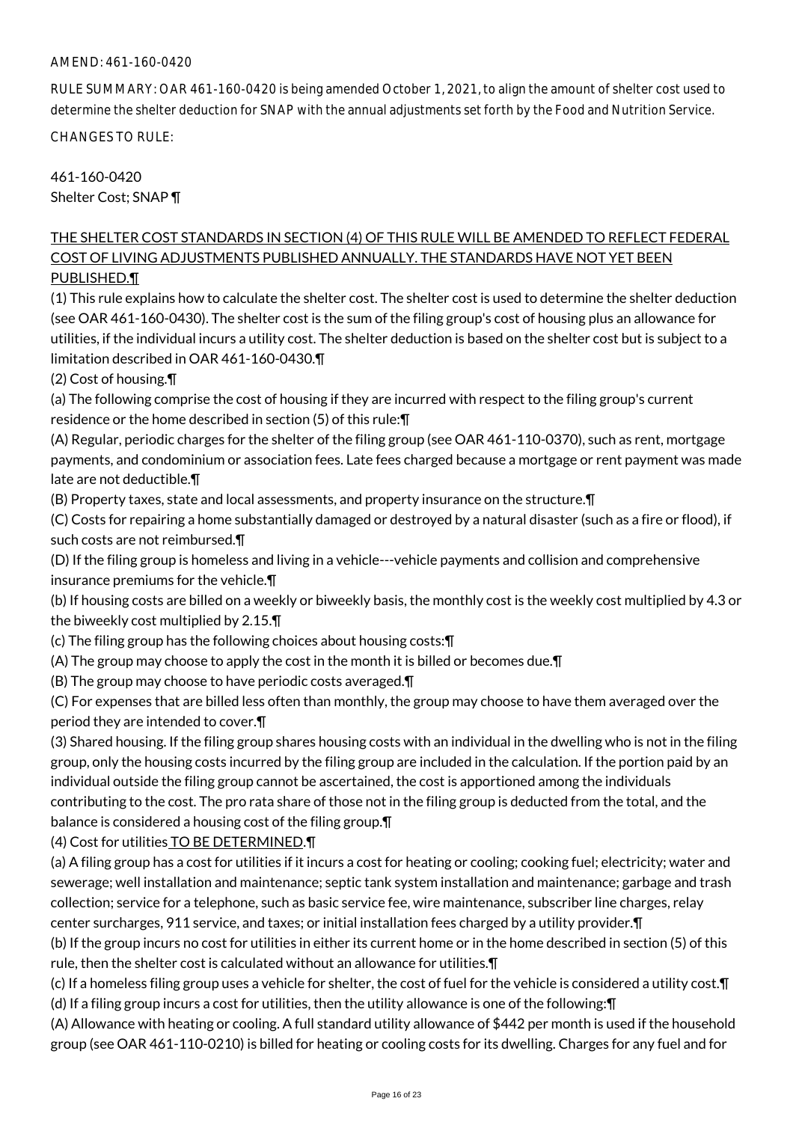# AMEND: 461-160-0420

RULE SUMMARY: OAR 461-160-0420 is being amended October 1, 2021, to align the amount of shelter cost used to determine the shelter deduction for SNAP with the annual adjustments set forth by the Food and Nutrition Service.

CHANGES TO RULE:

461-160-0420 Shelter Cost; SNAP ¶

# THE SHELTER COST STANDARDS IN SECTION (4) OF THIS RULE WILL BE AMENDED TO REFLECT FEDERAL COST OF LIVING ADJUSTMENTS PUBLISHED ANNUALLY. THE STANDARDS HAVE NOT YET BEEN PUBLISHED.¶

(1) This rule explains how to calculate the shelter cost. The shelter cost is used to determine the shelter deduction (see OAR 461-160-0430). The shelter cost is the sum of the filing group's cost of housing plus an allowance for utilities, if the individual incurs a utility cost. The shelter deduction is based on the shelter cost but is subject to a limitation described in OAR 461-160-0430.¶

(2) Cost of housing.¶

(a) The following comprise the cost of housing if they are incurred with respect to the filing group's current residence or the home described in section (5) of this rule:¶

(A) Regular, periodic charges for the shelter of the filing group (see OAR 461-110-0370), such as rent, mortgage payments, and condominium or association fees. Late fees charged because a mortgage or rent payment was made late are not deductible.¶

(B) Property taxes, state and local assessments, and property insurance on the structure.¶

(C) Costs for repairing a home substantially damaged or destroyed by a natural disaster (such as a fire or flood), if such costs are not reimbursed.¶

(D) If the filing group is homeless and living in a vehicle---vehicle payments and collision and comprehensive insurance premiums for the vehicle.¶

(b) If housing costs are billed on a weekly or biweekly basis, the monthly cost is the weekly cost multiplied by 4.3 or the biweekly cost multiplied by 2.15.¶

(c) The filing group has the following choices about housing costs:¶

(A) The group may choose to apply the cost in the month it is billed or becomes due.¶

(B) The group may choose to have periodic costs averaged.¶

(C) For expenses that are billed less often than monthly, the group may choose to have them averaged over the period they are intended to cover.¶

(3) Shared housing. If the filing group shares housing costs with an individual in the dwelling who is not in the filing group, only the housing costs incurred by the filing group are included in the calculation. If the portion paid by an individual outside the filing group cannot be ascertained, the cost is apportioned among the individuals contributing to the cost. The pro rata share of those not in the filing group is deducted from the total, and the balance is considered a housing cost of the filing group.¶

(4) Cost for utilities TO BE DETERMINED.¶

(a) A filing group has a cost for utilities if it incurs a cost for heating or cooling; cooking fuel; electricity; water and sewerage; well installation and maintenance; septic tank system installation and maintenance; garbage and trash collection; service for a telephone, such as basic service fee, wire maintenance, subscriber line charges, relay center surcharges, 911 service, and taxes; or initial installation fees charged by a utility provider.¶

(b) If the group incurs no cost for utilities in either its current home or in the home described in section (5) of this rule, then the shelter cost is calculated without an allowance for utilities.¶

(c) If a homeless filing group uses a vehicle for shelter, the cost of fuel for the vehicle is considered a utility cost.¶ (d) If a filing group incurs a cost for utilities, then the utility allowance is one of the following:¶

(A) Allowance with heating or cooling. A full standard utility allowance of \$442 per month is used if the household group (see OAR 461-110-0210) is billed for heating or cooling costs for its dwelling. Charges for any fuel and for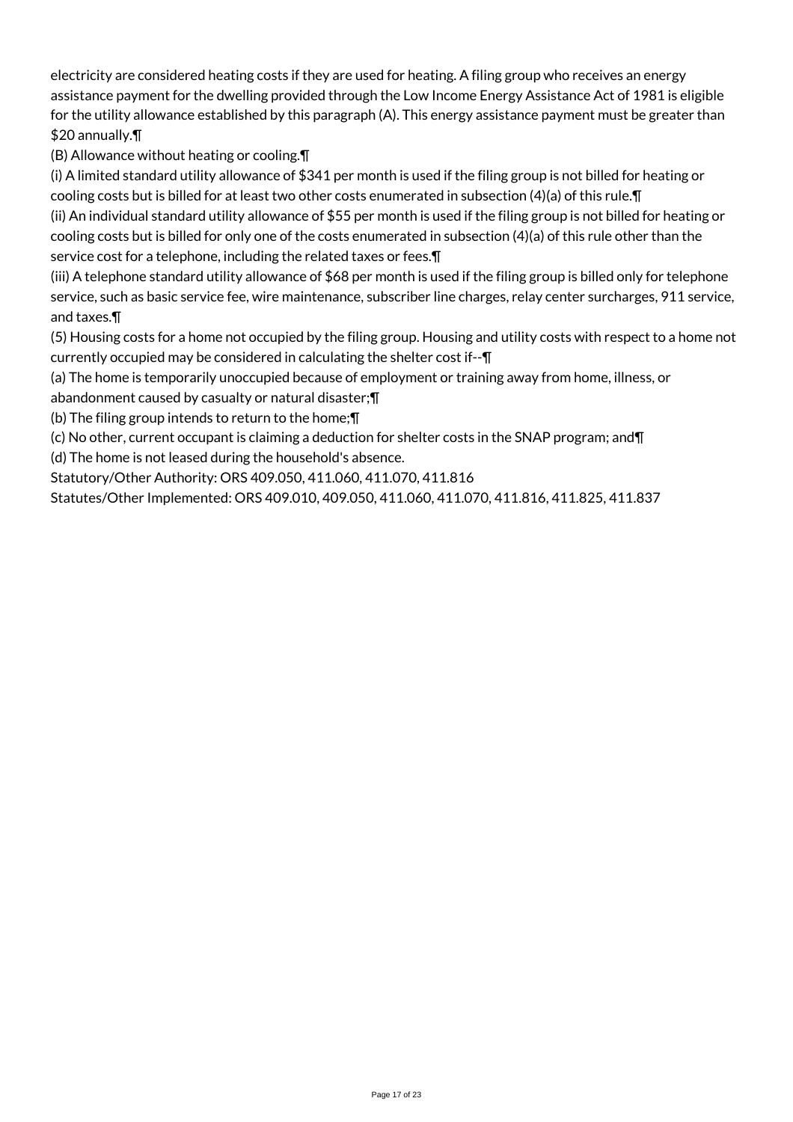electricity are considered heating costs if they are used for heating. A filing group who receives an energy assistance payment for the dwelling provided through the Low Income Energy Assistance Act of 1981 is eligible for the utility allowance established by this paragraph (A). This energy assistance payment must be greater than \$20 annually.¶

(B) Allowance without heating or cooling.¶

(i) A limited standard utility allowance of \$341 per month is used if the filing group is not billed for heating or cooling costs but is billed for at least two other costs enumerated in subsection (4)(a) of this rule.¶ (ii) An individual standard utility allowance of \$55 per month is used if the filing group is not billed for heating or

cooling costs but is billed for only one of the costs enumerated in subsection (4)(a) of this rule other than the service cost for a telephone, including the related taxes or fees.¶

(iii) A telephone standard utility allowance of \$68 per month is used if the filing group is billed only for telephone service, such as basic service fee, wire maintenance, subscriber line charges, relay center surcharges, 911 service, and taxes.¶

(5) Housing costs for a home not occupied by the filing group. Housing and utility costs with respect to a home not currently occupied may be considered in calculating the shelter cost if--¶

(a) The home is temporarily unoccupied because of employment or training away from home, illness, or abandonment caused by casualty or natural disaster;¶

(b) The filing group intends to return to the home;¶

(c) No other, current occupant is claiming a deduction for shelter costs in the SNAP program; and¶

(d) The home is not leased during the household's absence.

Statutory/Other Authority: ORS 409.050, 411.060, 411.070, 411.816

Statutes/Other Implemented: ORS 409.010, 409.050, 411.060, 411.070, 411.816, 411.825, 411.837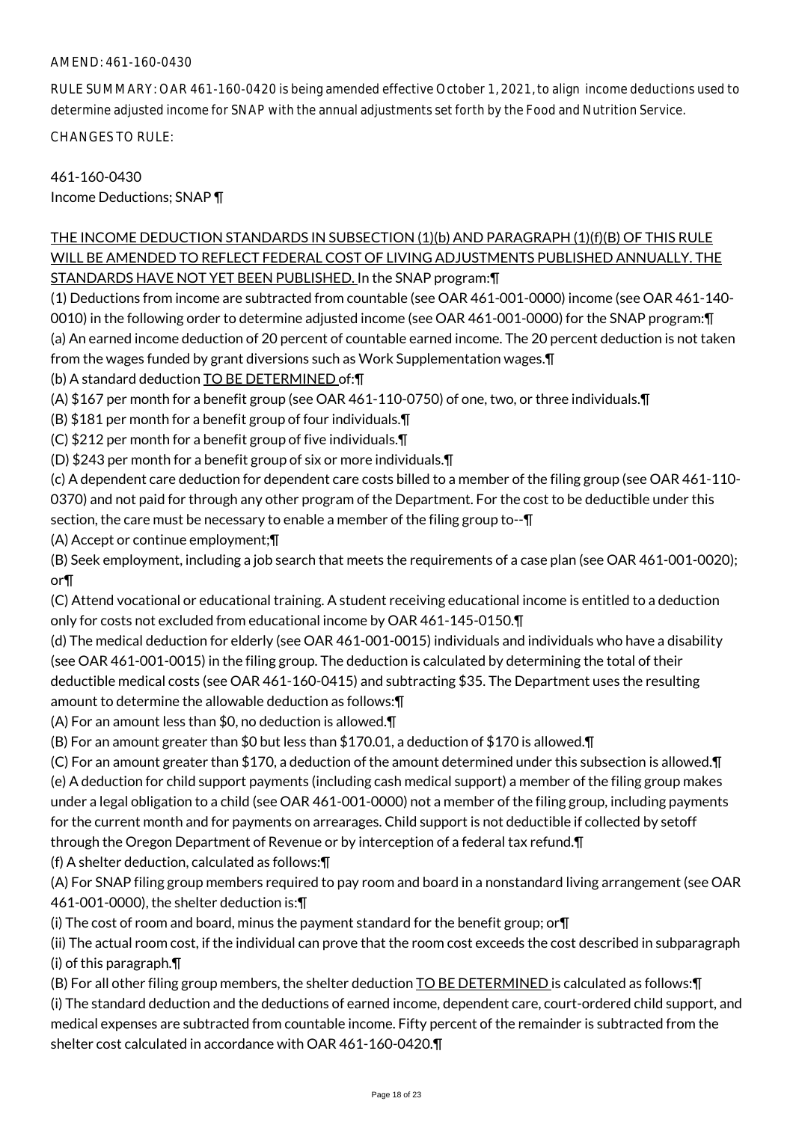# AMEND: 461-160-0430

RULE SUMMARY: OAR 461-160-0420 is being amended effective October 1, 2021, to align income deductions used to determine adjusted income for SNAP with the annual adjustments set forth by the Food and Nutrition Service.

CHANGES TO RULE:

461-160-0430 Income Deductions; SNAP ¶

# THE INCOME DEDUCTION STANDARDS IN SUBSECTION (1)(b) AND PARAGRAPH (1)(f)(B) OF THIS RULE WILL BE AMENDED TO REFLECT FEDERAL COST OF LIVING ADJUSTMENTS PUBLISHED ANNUALLY. THE STANDARDS HAVE NOT YET BEEN PUBLISHED. In the SNAP program:¶

(1) Deductions from income are subtracted from countable (see OAR 461-001-0000) income (see OAR 461-140- 0010) in the following order to determine adjusted income (see OAR 461-001-0000) for the SNAP program:¶ (a) An earned income deduction of 20 percent of countable earned income. The 20 percent deduction is not taken from the wages funded by grant diversions such as Work Supplementation wages.¶

(b) A standard deduction TO BE DETERMINED of:¶

(A) \$167 per month for a benefit group (see OAR 461-110-0750) of one, two, or three individuals.¶

(B) \$181 per month for a benefit group of four individuals.¶

(C) \$212 per month for a benefit group of five individuals.¶

(D) \$243 per month for a benefit group of six or more individuals.¶

(c) A dependent care deduction for dependent care costs billed to a member of the filing group (see OAR 461-110- 0370) and not paid for through any other program of the Department. For the cost to be deductible under this section, the care must be necessary to enable a member of the filing group to--¶

(A) Accept or continue employment;¶

(B) Seek employment, including a job search that meets the requirements of a case plan (see OAR 461-001-0020); or¶

(C) Attend vocational or educational training. A student receiving educational income is entitled to a deduction only for costs not excluded from educational income by OAR 461-145-0150.¶

(d) The medical deduction for elderly (see OAR 461-001-0015) individuals and individuals who have a disability (see OAR 461-001-0015) in the filing group. The deduction is calculated by determining the total of their deductible medical costs (see OAR 461-160-0415) and subtracting \$35. The Department uses the resulting amount to determine the allowable deduction as follows:¶

(A) For an amount less than \$0, no deduction is allowed.¶

(B) For an amount greater than \$0 but less than \$170.01, a deduction of \$170 is allowed.¶

(C) For an amount greater than \$170, a deduction of the amount determined under this subsection is allowed.¶ (e) A deduction for child support payments (including cash medical support) a member of the filing group makes under a legal obligation to a child (see OAR 461-001-0000) not a member of the filing group, including payments for the current month and for payments on arrearages. Child support is not deductible if collected by setoff through the Oregon Department of Revenue or by interception of a federal tax refund.¶

(f) A shelter deduction, calculated as follows:¶

(A) For SNAP filing group members required to pay room and board in a nonstandard living arrangement (see OAR 461-001-0000), the shelter deduction is:¶

(i) The cost of room and board, minus the payment standard for the benefit group; or¶

(ii) The actual room cost, if the individual can prove that the room cost exceeds the cost described in subparagraph (i) of this paragraph.¶

(B) For all other filing group members, the shelter deduction TO BE DETERMINED is calculated as follows:¶ (i) The standard deduction and the deductions of earned income, dependent care, court-ordered child support, and medical expenses are subtracted from countable income. Fifty percent of the remainder is subtracted from the shelter cost calculated in accordance with OAR 461-160-0420.¶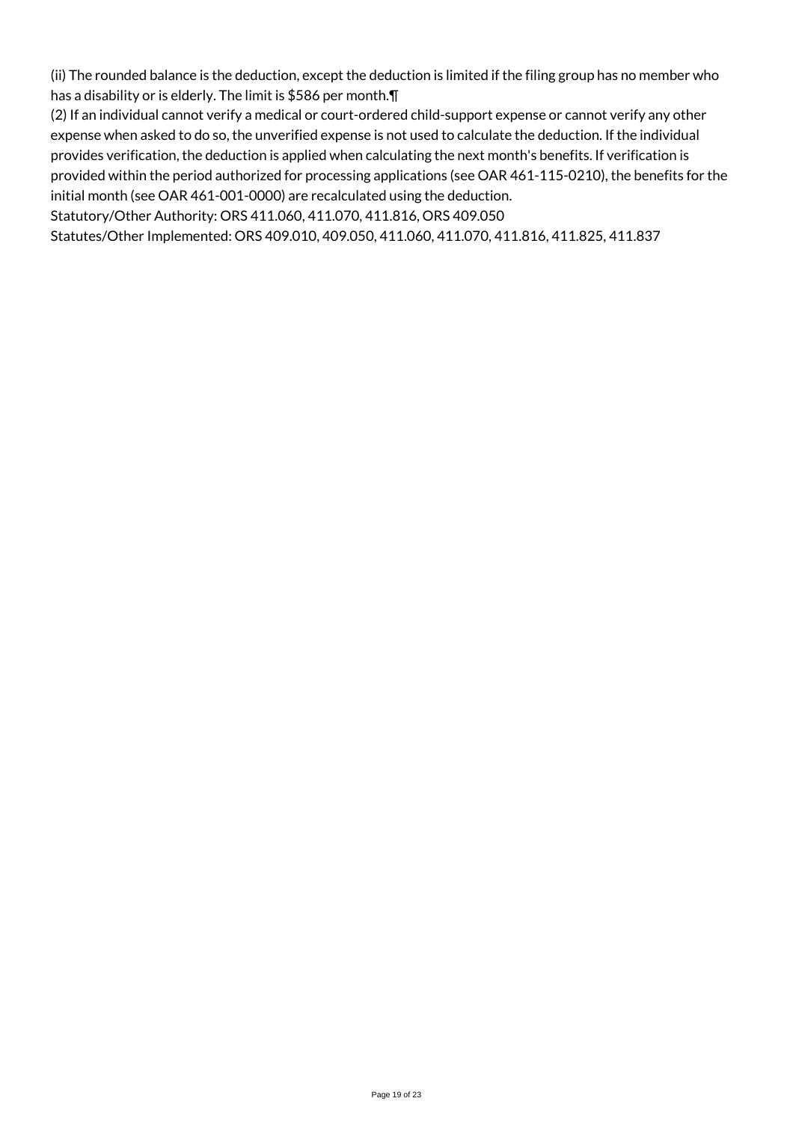(ii) The rounded balance is the deduction, except the deduction is limited if the filing group has no member who has a disability or is elderly. The limit is \$586 per month.¶

(2) If an individual cannot verify a medical or court-ordered child-support expense or cannot verify any other expense when asked to do so, the unverified expense is not used to calculate the deduction. If the individual provides verification, the deduction is applied when calculating the next month's benefits. If verification is provided within the period authorized for processing applications (see OAR 461-115-0210), the benefits for the initial month (see OAR 461-001-0000) are recalculated using the deduction.

Statutory/Other Authority: ORS 411.060, 411.070, 411.816, ORS 409.050

Statutes/Other Implemented: ORS 409.010, 409.050, 411.060, 411.070, 411.816, 411.825, 411.837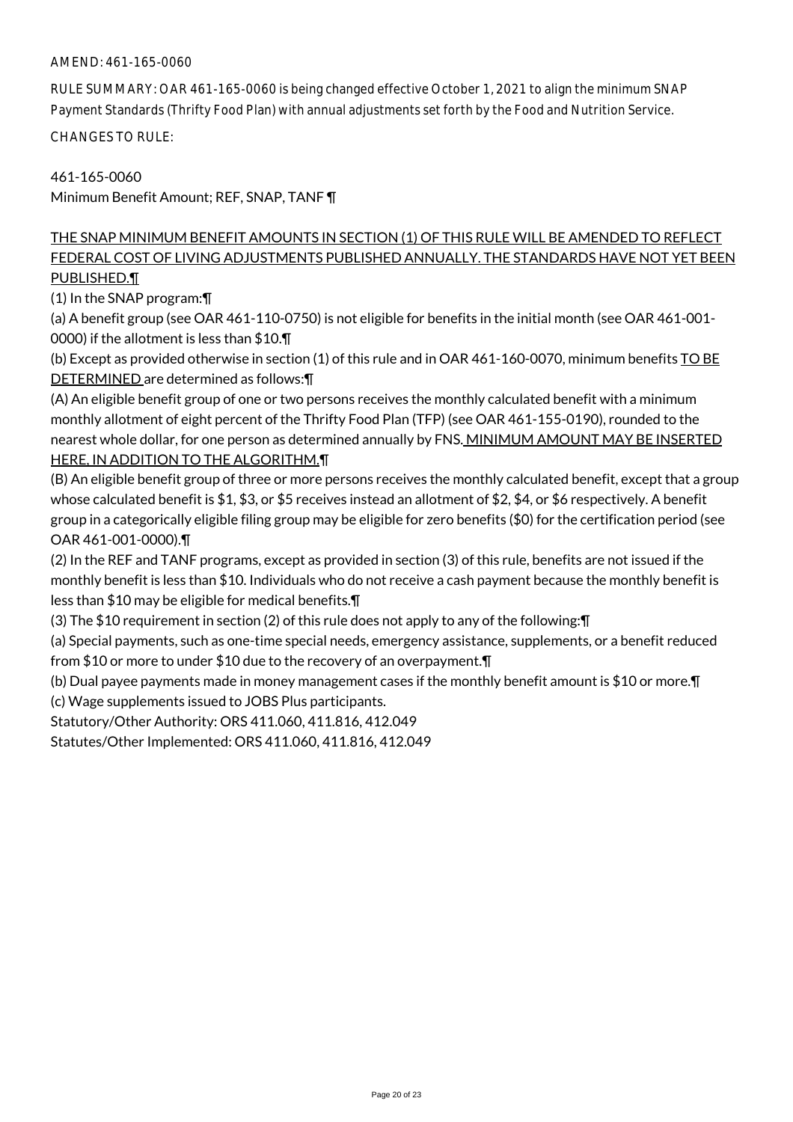# AMEND: 461-165-0060

RULE SUMMARY: OAR 461-165-0060 is being changed effective October 1, 2021 to align the minimum SNAP Payment Standards (Thrifty Food Plan) with annual adjustments set forth by the Food and Nutrition Service.

CHANGES TO RULE:

461-165-0060 Minimum Benefit Amount; REF, SNAP, TANF ¶

# THE SNAP MINIMUM BENEFIT AMOUNTS IN SECTION (1) OF THIS RULE WILL BE AMENDED TO REFLECT FEDERAL COST OF LIVING ADJUSTMENTS PUBLISHED ANNUALLY. THE STANDARDS HAVE NOT YET BEEN PUBLISHED.¶

(1) In the SNAP program:¶

(a) A benefit group (see OAR 461-110-0750) is not eligible for benefits in the initial month (see OAR 461-001- 0000) if the allotment is less than \$10.¶

(b) Except as provided otherwise in section (1) of this rule and in OAR 461-160-0070, minimum benefits TO BE DETERMINED are determined as follows:¶

(A) An eligible benefit group of one or two persons receives the monthly calculated benefit with a minimum monthly allotment of eight percent of the Thrifty Food Plan (TFP) (see OAR 461-155-0190), rounded to the nearest whole dollar, for one person as determined annually by FNS. MINIMUM AMOUNT MAY BE INSERTED HERE, IN ADDITION TO THE ALGORITHM.¶

(B) An eligible benefit group of three or more persons receives the monthly calculated benefit, except that a group whose calculated benefit is \$1, \$3, or \$5 receives instead an allotment of \$2, \$4, or \$6 respectively. A benefit group in a categorically eligible filing group may be eligible for zero benefits (\$0) for the certification period (see OAR 461-001-0000).¶

(2) In the REF and TANF programs, except as provided in section (3) of this rule, benefits are not issued if the monthly benefit is less than \$10. Individuals who do not receive a cash payment because the monthly benefit is less than \$10 may be eligible for medical benefits.¶

(3) The \$10 requirement in section (2) of this rule does not apply to any of the following:¶

(a) Special payments, such as one-time special needs, emergency assistance, supplements, or a benefit reduced from \$10 or more to under \$10 due to the recovery of an overpayment.¶

(b) Dual payee payments made in money management cases if the monthly benefit amount is \$10 or more.¶ (c) Wage supplements issued to JOBS Plus participants.

Statutory/Other Authority: ORS 411.060, 411.816, 412.049

Statutes/Other Implemented: ORS 411.060, 411.816, 412.049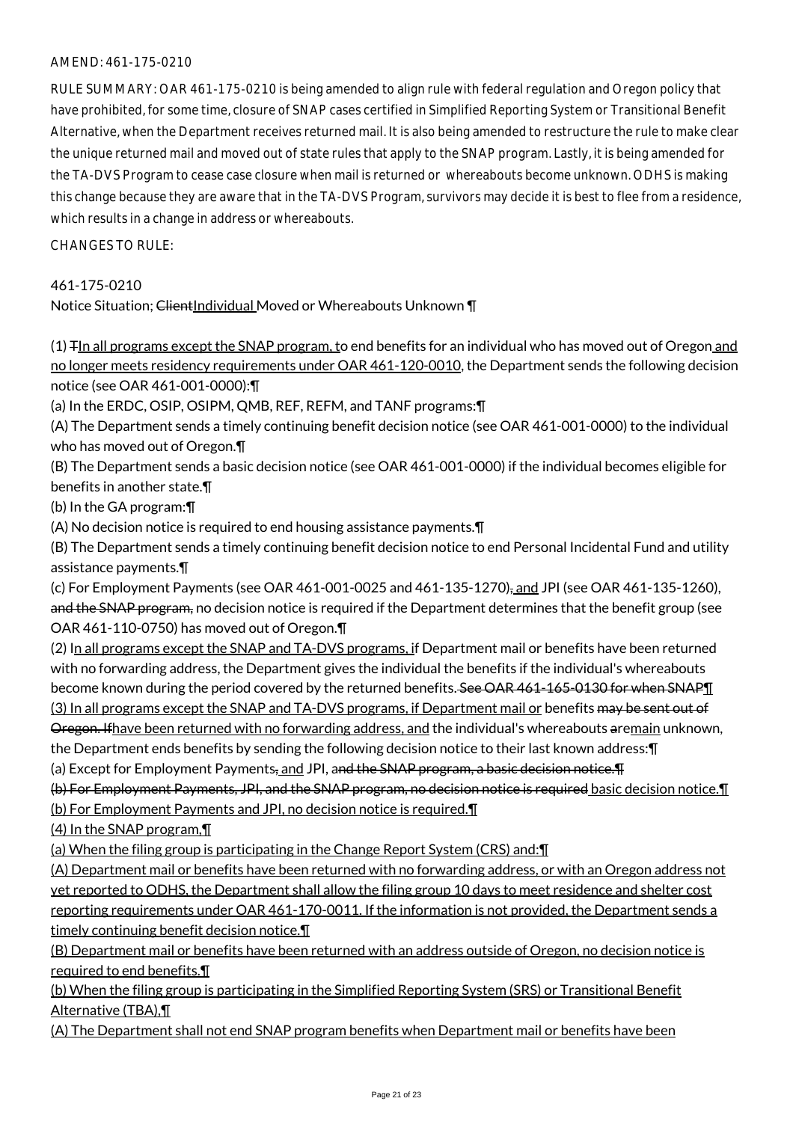### AMEND: 461-175-0210

RULE SUMMARY: OAR 461-175-0210 is being amended to align rule with federal regulation and Oregon policy that have prohibited, for some time, closure of SNAP cases certified in Simplified Reporting System or Transitional Benefit Alternative, when the Department receives returned mail. It is also being amended to restructure the rule to make clear the unique returned mail and moved out of state rules that apply to the SNAP program. Lastly, it is being amended for the TA-DVS Program to cease case closure when mail is returned or whereabouts become unknown. ODHS is making this change because they are aware that in the TA-DVS Program, survivors may decide it is best to flee from a residence, which results in a change in address or whereabouts.

#### $CHANGFS TO RIIF$

### 461-175-0210

Notice Situation; ClientIndividual Moved or Whereabouts Unknown \[

(1) TIn all programs except the SNAP program, to end benefits for an individual who has moved out of Oregon and no longer meets residency requirements under OAR 461-120-0010, the Department sends the following decision notice (see OAR 461-001-0000):¶

(a) In the ERDC, OSIP, OSIPM, QMB, REF, REFM, and TANF programs:¶

(A) The Department sends a timely continuing benefit decision notice (see OAR 461-001-0000) to the individual who has moved out of Oregon.¶

(B) The Department sends a basic decision notice (see OAR 461-001-0000) if the individual becomes eligible for benefits in another state.¶

(b) In the GA program:¶

(A) No decision notice is required to end housing assistance payments.¶

(B) The Department sends a timely continuing benefit decision notice to end Personal Incidental Fund and utility assistance payments.¶

(c) For Employment Payments (see OAR 461-001-0025 and 461-135-1270), and JPI (see OAR 461-135-1260), and the SNAP program, no decision notice is required if the Department determines that the benefit group (see OAR 461-110-0750) has moved out of Oregon.¶

(2) In all programs except the SNAP and TA-DVS programs, if Department mail or benefits have been returned with no forwarding address, the Department gives the individual the benefits if the individual's whereabouts become known during the period covered by the returned benefits. See OAR 461-165-0130 for when SNAPT (3) In all programs except the SNAP and TA-DVS programs, if Department mail or benefits may be sent out of Oregon. Ifhave been returned with no forwarding address, and the individual's whereabouts aremain unknown, the Department ends benefits by sending the following decision notice to their last known address:¶

(a) Except for Employment Payments, and JPI, and the SNAP program, a basic decision notice. The

(b) For Employment Payments, JPI, and the SNAP program, no decision notice is required basic decision notice.¶ (b) For Employment Payments and JPI, no decision notice is required.¶

(4) In the SNAP program,¶

(a) When the filing group is participating in the Change Report System (CRS) and:¶

(A) Department mail or benefits have been returned with no forwarding address, or with an Oregon address not yet reported to ODHS, the Department shall allow the filing group 10 days to meet residence and shelter cost reporting requirements under OAR 461-170-0011. If the information is not provided, the Department sends a timely continuing benefit decision notice.¶

(B) Department mail or benefits have been returned with an address outside of Oregon, no decision notice is required to end benefits.¶

(b) When the filing group is participating in the Simplified Reporting System (SRS) or Transitional Benefit Alternative (TBA), 1

(A) The Department shall not end SNAP program benefits when Department mail or benefits have been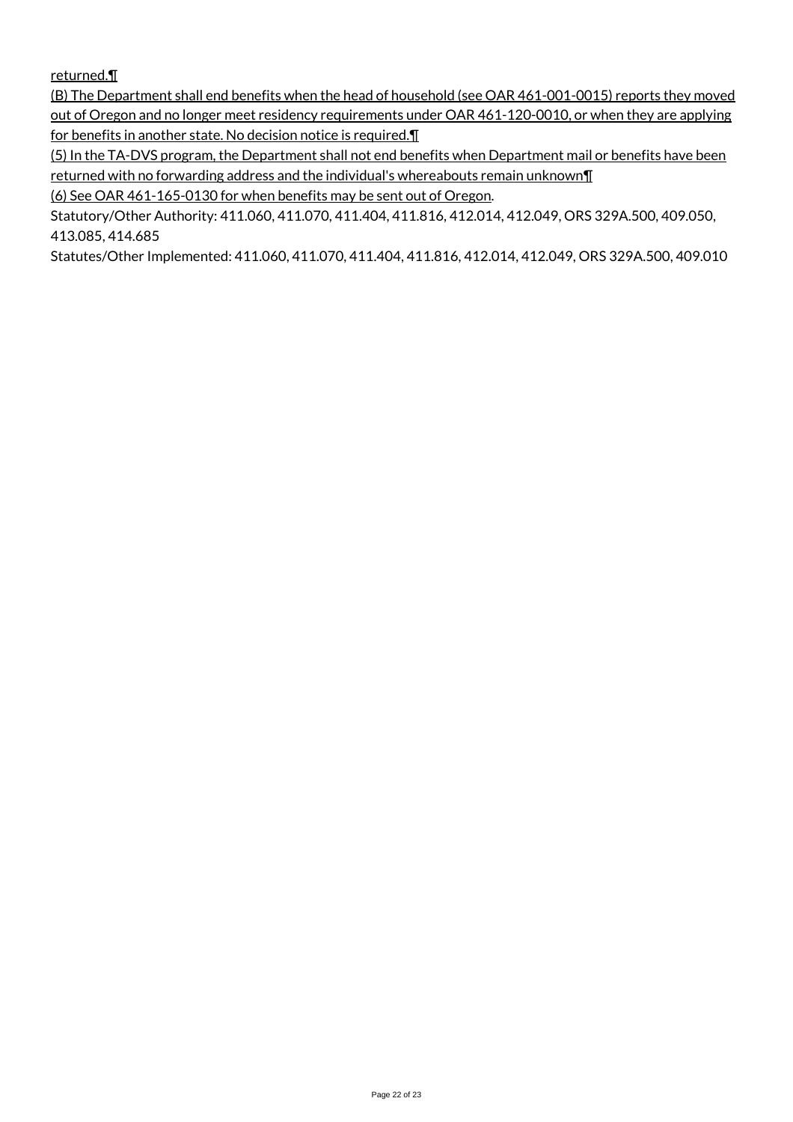returned.¶

(B) The Department shall end benefits when the head of household (see OAR 461-001-0015) reports they moved out of Oregon and no longer meet residency requirements under OAR 461-120-0010, or when they are applying for benefits in another state. No decision notice is required.¶

(5) In the TA-DVS program, the Department shall not end benefits when Department mail or benefits have been returned with no forwarding address and the individual's whereabouts remain unknown¶

(6) See OAR 461-165-0130 for when benefits may be sent out of Oregon.

Statutory/Other Authority: 411.060, 411.070, 411.404, 411.816, 412.014, 412.049, ORS 329A.500, 409.050, 413.085, 414.685

Statutes/Other Implemented: 411.060, 411.070, 411.404, 411.816, 412.014, 412.049, ORS 329A.500, 409.010